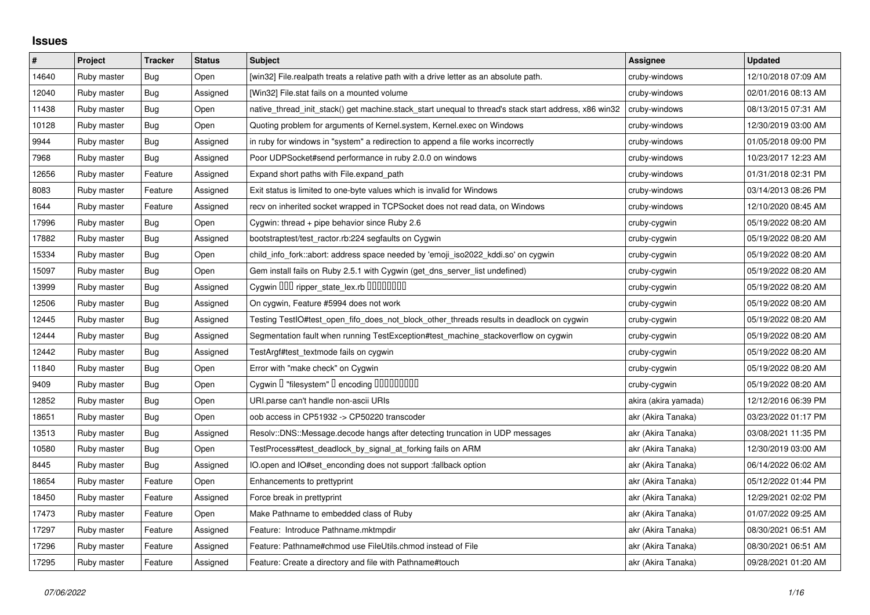## **Issues**

| $\#$  | Project     | <b>Tracker</b> | <b>Status</b> | <b>Subject</b>                                                                                        | <b>Assignee</b>      | <b>Updated</b>      |
|-------|-------------|----------------|---------------|-------------------------------------------------------------------------------------------------------|----------------------|---------------------|
| 14640 | Ruby master | Bug            | Open          | [win32] File.realpath treats a relative path with a drive letter as an absolute path.                 | cruby-windows        | 12/10/2018 07:09 AM |
| 12040 | Ruby master | Bug            | Assigned      | [Win32] File.stat fails on a mounted volume                                                           | cruby-windows        | 02/01/2016 08:13 AM |
| 11438 | Ruby master | Bug            | Open          | native_thread_init_stack() get machine.stack_start unequal to thread's stack start address, x86 win32 | cruby-windows        | 08/13/2015 07:31 AM |
| 10128 | Ruby master | <b>Bug</b>     | Open          | Quoting problem for arguments of Kernel.system, Kernel.exec on Windows                                | cruby-windows        | 12/30/2019 03:00 AM |
| 9944  | Ruby master | <b>Bug</b>     | Assigned      | in ruby for windows in "system" a redirection to append a file works incorrectly                      | cruby-windows        | 01/05/2018 09:00 PM |
| 7968  | Ruby master | <b>Bug</b>     | Assigned      | Poor UDPSocket#send performance in ruby 2.0.0 on windows                                              | cruby-windows        | 10/23/2017 12:23 AM |
| 12656 | Ruby master | Feature        | Assigned      | Expand short paths with File.expand_path                                                              | cruby-windows        | 01/31/2018 02:31 PM |
| 8083  | Ruby master | Feature        | Assigned      | Exit status is limited to one-byte values which is invalid for Windows                                | cruby-windows        | 03/14/2013 08:26 PM |
| 1644  | Ruby master | Feature        | Assigned      | recv on inherited socket wrapped in TCPSocket does not read data, on Windows                          | cruby-windows        | 12/10/2020 08:45 AM |
| 17996 | Ruby master | Bug            | Open          | Cygwin: thread + pipe behavior since Ruby 2.6                                                         | cruby-cygwin         | 05/19/2022 08:20 AM |
| 17882 | Ruby master | Bug            | Assigned      | bootstraptest/test_ractor.rb:224 segfaults on Cygwin                                                  | cruby-cygwin         | 05/19/2022 08:20 AM |
| 15334 | Ruby master | <b>Bug</b>     | Open          | child info fork::abort: address space needed by 'emoji iso2022 kddi.so' on cygwin                     | cruby-cygwin         | 05/19/2022 08:20 AM |
| 15097 | Ruby master | Bug            | Open          | Gem install fails on Ruby 2.5.1 with Cygwin (get_dns_server_list undefined)                           | cruby-cygwin         | 05/19/2022 08:20 AM |
| 13999 | Ruby master | Bug            | Assigned      | Cygwin OOO ripper_state_lex.rb 00000000                                                               | cruby-cygwin         | 05/19/2022 08:20 AM |
| 12506 | Ruby master | Bug            | Assigned      | On cygwin, Feature #5994 does not work                                                                | cruby-cygwin         | 05/19/2022 08:20 AM |
| 12445 | Ruby master | Bug            | Assigned      | Testing TestlO#test_open_fifo_does_not_block_other_threads results in deadlock on cygwin              | cruby-cygwin         | 05/19/2022 08:20 AM |
| 12444 | Ruby master | Bug            | Assigned      | Segmentation fault when running TestException#test_machine_stackoverflow on cygwin                    | cruby-cygwin         | 05/19/2022 08:20 AM |
| 12442 | Ruby master | Bug            | Assigned      | TestArgf#test_textmode fails on cygwin                                                                | cruby-cygwin         | 05/19/2022 08:20 AM |
| 11840 | Ruby master | <b>Bug</b>     | Open          | Error with "make check" on Cygwin                                                                     | cruby-cygwin         | 05/19/2022 08:20 AM |
| 9409  | Ruby master | Bug            | Open          | Cygwin I "filesystem" I encoding IIIIIIIIIIII                                                         | cruby-cygwin         | 05/19/2022 08:20 AM |
| 12852 | Ruby master | Bug            | Open          | URI.parse can't handle non-ascii URIs                                                                 | akira (akira yamada) | 12/12/2016 06:39 PM |
| 18651 | Ruby master | Bug            | Open          | oob access in CP51932 -> CP50220 transcoder                                                           | akr (Akira Tanaka)   | 03/23/2022 01:17 PM |
| 13513 | Ruby master | Bug            | Assigned      | Resolv::DNS::Message.decode hangs after detecting truncation in UDP messages                          | akr (Akira Tanaka)   | 03/08/2021 11:35 PM |
| 10580 | Ruby master | Bug            | Open          | TestProcess#test_deadlock_by_signal_at_forking fails on ARM                                           | akr (Akira Tanaka)   | 12/30/2019 03:00 AM |
| 8445  | Ruby master | Bug            | Assigned      | IO.open and IO#set_enconding does not support :fallback option                                        | akr (Akira Tanaka)   | 06/14/2022 06:02 AM |
| 18654 | Ruby master | Feature        | Open          | Enhancements to prettyprint                                                                           | akr (Akira Tanaka)   | 05/12/2022 01:44 PM |
| 18450 | Ruby master | Feature        | Assigned      | Force break in prettyprint                                                                            | akr (Akira Tanaka)   | 12/29/2021 02:02 PM |
| 17473 | Ruby master | Feature        | Open          | Make Pathname to embedded class of Ruby                                                               | akr (Akira Tanaka)   | 01/07/2022 09:25 AM |
| 17297 | Ruby master | Feature        | Assigned      | Feature: Introduce Pathname.mktmpdir                                                                  | akr (Akira Tanaka)   | 08/30/2021 06:51 AM |
| 17296 | Ruby master | Feature        | Assigned      | Feature: Pathname#chmod use FileUtils.chmod instead of File                                           | akr (Akira Tanaka)   | 08/30/2021 06:51 AM |
| 17295 | Ruby master | Feature        | Assigned      | Feature: Create a directory and file with Pathname#touch                                              | akr (Akira Tanaka)   | 09/28/2021 01:20 AM |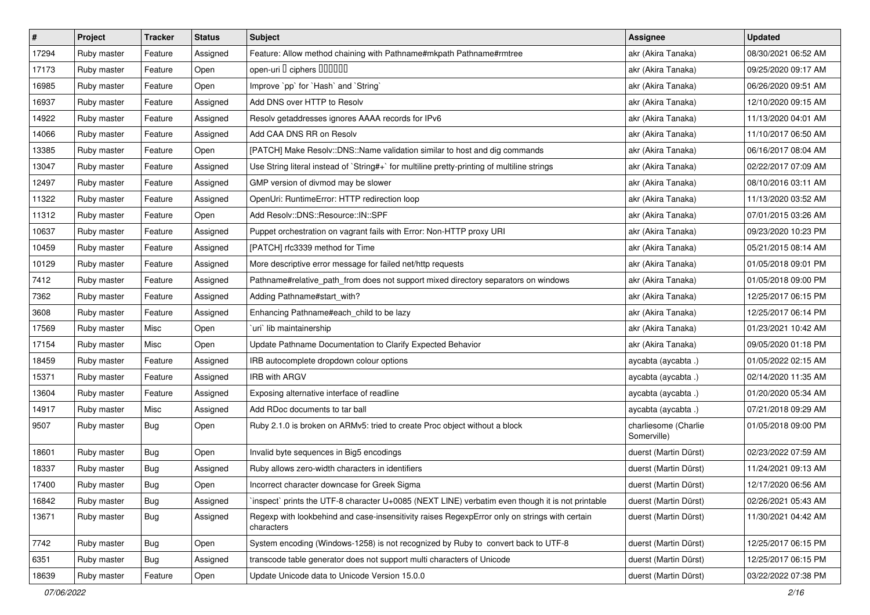| $\vert$ # | Project     | <b>Tracker</b> | <b>Status</b> | <b>Subject</b>                                                                                              | Assignee                            | <b>Updated</b>      |
|-----------|-------------|----------------|---------------|-------------------------------------------------------------------------------------------------------------|-------------------------------------|---------------------|
| 17294     | Ruby master | Feature        | Assigned      | Feature: Allow method chaining with Pathname#mkpath Pathname#rmtree                                         | akr (Akira Tanaka)                  | 08/30/2021 06:52 AM |
| 17173     | Ruby master | Feature        | Open          | open-uri I ciphers IIIIIII                                                                                  | akr (Akira Tanaka)                  | 09/25/2020 09:17 AM |
| 16985     | Ruby master | Feature        | Open          | Improve `pp` for `Hash` and `String`                                                                        | akr (Akira Tanaka)                  | 06/26/2020 09:51 AM |
| 16937     | Ruby master | Feature        | Assigned      | Add DNS over HTTP to Resolv                                                                                 | akr (Akira Tanaka)                  | 12/10/2020 09:15 AM |
| 14922     | Ruby master | Feature        | Assigned      | Resolv getaddresses ignores AAAA records for IPv6                                                           | akr (Akira Tanaka)                  | 11/13/2020 04:01 AM |
| 14066     | Ruby master | Feature        | Assigned      | Add CAA DNS RR on Resolv                                                                                    | akr (Akira Tanaka)                  | 11/10/2017 06:50 AM |
| 13385     | Ruby master | Feature        | Open          | [PATCH] Make Resolv::DNS::Name validation similar to host and dig commands                                  | akr (Akira Tanaka)                  | 06/16/2017 08:04 AM |
| 13047     | Ruby master | Feature        | Assigned      | Use String literal instead of `String#+` for multiline pretty-printing of multiline strings                 | akr (Akira Tanaka)                  | 02/22/2017 07:09 AM |
| 12497     | Ruby master | Feature        | Assigned      | GMP version of divmod may be slower                                                                         | akr (Akira Tanaka)                  | 08/10/2016 03:11 AM |
| 11322     | Ruby master | Feature        | Assigned      | OpenUri: RuntimeError: HTTP redirection loop                                                                | akr (Akira Tanaka)                  | 11/13/2020 03:52 AM |
| 11312     | Ruby master | Feature        | Open          | Add Resolv::DNS::Resource::IN::SPF                                                                          | akr (Akira Tanaka)                  | 07/01/2015 03:26 AM |
| 10637     | Ruby master | Feature        | Assigned      | Puppet orchestration on vagrant fails with Error: Non-HTTP proxy URI                                        | akr (Akira Tanaka)                  | 09/23/2020 10:23 PM |
| 10459     | Ruby master | Feature        | Assigned      | [PATCH] rfc3339 method for Time                                                                             | akr (Akira Tanaka)                  | 05/21/2015 08:14 AM |
| 10129     | Ruby master | Feature        | Assigned      | More descriptive error message for failed net/http requests                                                 | akr (Akira Tanaka)                  | 01/05/2018 09:01 PM |
| 7412      | Ruby master | Feature        | Assigned      | Pathname#relative_path_from does not support mixed directory separators on windows                          | akr (Akira Tanaka)                  | 01/05/2018 09:00 PM |
| 7362      | Ruby master | Feature        | Assigned      | Adding Pathname#start_with?                                                                                 | akr (Akira Tanaka)                  | 12/25/2017 06:15 PM |
| 3608      | Ruby master | Feature        | Assigned      | Enhancing Pathname#each_child to be lazy                                                                    | akr (Akira Tanaka)                  | 12/25/2017 06:14 PM |
| 17569     | Ruby master | Misc           | Open          | 'uri' lib maintainership                                                                                    | akr (Akira Tanaka)                  | 01/23/2021 10:42 AM |
| 17154     | Ruby master | Misc           | Open          | Update Pathname Documentation to Clarify Expected Behavior                                                  | akr (Akira Tanaka)                  | 09/05/2020 01:18 PM |
| 18459     | Ruby master | Feature        | Assigned      | IRB autocomplete dropdown colour options                                                                    | aycabta (aycabta.)                  | 01/05/2022 02:15 AM |
| 15371     | Ruby master | Feature        | Assigned      | IRB with ARGV                                                                                               | aycabta (aycabta.)                  | 02/14/2020 11:35 AM |
| 13604     | Ruby master | Feature        | Assigned      | Exposing alternative interface of readline                                                                  | aycabta (aycabta.)                  | 01/20/2020 05:34 AM |
| 14917     | Ruby master | Misc           | Assigned      | Add RDoc documents to tar ball                                                                              | aycabta (aycabta.)                  | 07/21/2018 09:29 AM |
| 9507      | Ruby master | Bug            | Open          | Ruby 2.1.0 is broken on ARMv5: tried to create Proc object without a block                                  | charliesome (Charlie<br>Somerville) | 01/05/2018 09:00 PM |
| 18601     | Ruby master | <b>Bug</b>     | Open          | Invalid byte sequences in Big5 encodings                                                                    | duerst (Martin Dürst)               | 02/23/2022 07:59 AM |
| 18337     | Ruby master | <b>Bug</b>     | Assigned      | Ruby allows zero-width characters in identifiers                                                            | duerst (Martin Dürst)               | 11/24/2021 09:13 AM |
| 17400     | Ruby master | <b>Bug</b>     | Open          | Incorrect character downcase for Greek Sigma                                                                | duerst (Martin Dürst)               | 12/17/2020 06:56 AM |
| 16842     | Ruby master | <b>Bug</b>     | Assigned      | inspect` prints the UTF-8 character U+0085 (NEXT LINE) verbatim even though it is not printable             | duerst (Martin Dürst)               | 02/26/2021 05:43 AM |
| 13671     | Ruby master | <b>Bug</b>     | Assigned      | Regexp with lookbehind and case-insensitivity raises RegexpError only on strings with certain<br>characters | duerst (Martin Dürst)               | 11/30/2021 04:42 AM |
| 7742      | Ruby master | Bug            | Open          | System encoding (Windows-1258) is not recognized by Ruby to convert back to UTF-8                           | duerst (Martin Dürst)               | 12/25/2017 06:15 PM |
| 6351      | Ruby master | <b>Bug</b>     | Assigned      | transcode table generator does not support multi characters of Unicode                                      | duerst (Martin Dürst)               | 12/25/2017 06:15 PM |
| 18639     | Ruby master | Feature        | Open          | Update Unicode data to Unicode Version 15.0.0                                                               | duerst (Martin Dürst)               | 03/22/2022 07:38 PM |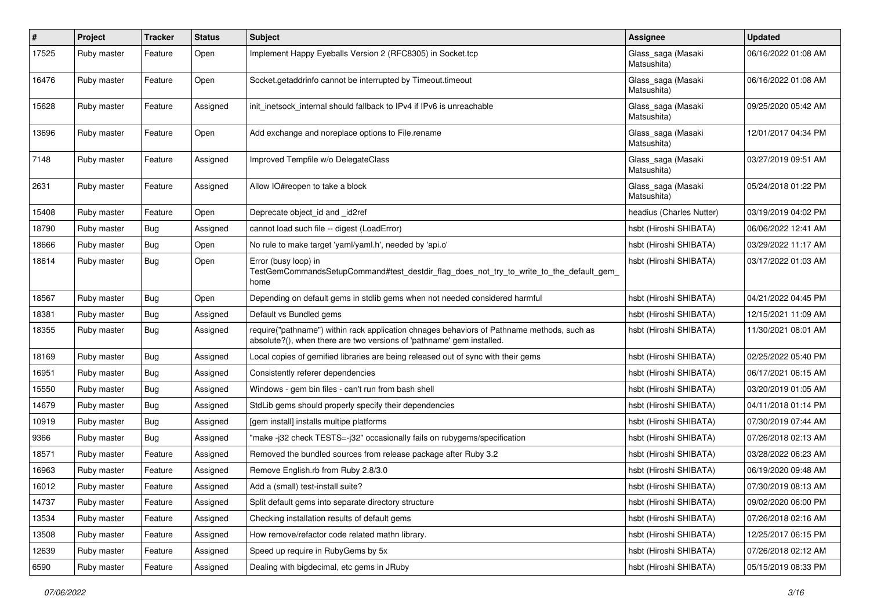| #     | Project     | <b>Tracker</b> | <b>Status</b> | <b>Subject</b>                                                                                                                                                      | Assignee                          | <b>Updated</b>      |
|-------|-------------|----------------|---------------|---------------------------------------------------------------------------------------------------------------------------------------------------------------------|-----------------------------------|---------------------|
| 17525 | Ruby master | Feature        | Open          | Implement Happy Eyeballs Version 2 (RFC8305) in Socket.tcp                                                                                                          | Glass_saga (Masaki<br>Matsushita) | 06/16/2022 01:08 AM |
| 16476 | Ruby master | Feature        | Open          | Socket.getaddrinfo cannot be interrupted by Timeout.timeout                                                                                                         | Glass_saga (Masaki<br>Matsushita) | 06/16/2022 01:08 AM |
| 15628 | Ruby master | Feature        | Assigned      | init inetsock internal should fallback to IPv4 if IPv6 is unreachable                                                                                               | Glass_saga (Masaki<br>Matsushita) | 09/25/2020 05:42 AM |
| 13696 | Ruby master | Feature        | Open          | Add exchange and noreplace options to File.rename                                                                                                                   | Glass_saga (Masaki<br>Matsushita) | 12/01/2017 04:34 PM |
| 7148  | Ruby master | Feature        | Assigned      | Improved Tempfile w/o DelegateClass                                                                                                                                 | Glass_saga (Masaki<br>Matsushita) | 03/27/2019 09:51 AM |
| 2631  | Ruby master | Feature        | Assigned      | Allow IO#reopen to take a block                                                                                                                                     | Glass_saga (Masaki<br>Matsushita) | 05/24/2018 01:22 PM |
| 15408 | Ruby master | Feature        | Open          | Deprecate object_id and _id2ref                                                                                                                                     | headius (Charles Nutter)          | 03/19/2019 04:02 PM |
| 18790 | Ruby master | Bug            | Assigned      | cannot load such file -- digest (LoadError)                                                                                                                         | hsbt (Hiroshi SHIBATA)            | 06/06/2022 12:41 AM |
| 18666 | Ruby master | Bug            | Open          | No rule to make target 'yaml/yaml.h', needed by 'api.o'                                                                                                             | hsbt (Hiroshi SHIBATA)            | 03/29/2022 11:17 AM |
| 18614 | Ruby master | Bug            | Open          | Error (busy loop) in<br>TestGemCommandsSetupCommand#test_destdir_flag_does_not_try_to_write_to_the_default_gem_<br>home                                             | hsbt (Hiroshi SHIBATA)            | 03/17/2022 01:03 AM |
| 18567 | Ruby master | Bug            | Open          | Depending on default gems in stdlib gems when not needed considered harmful                                                                                         | hsbt (Hiroshi SHIBATA)            | 04/21/2022 04:45 PM |
| 18381 | Ruby master | Bug            | Assigned      | Default vs Bundled gems                                                                                                                                             | hsbt (Hiroshi SHIBATA)            | 12/15/2021 11:09 AM |
| 18355 | Ruby master | Bug            | Assigned      | require("pathname") within rack application chnages behaviors of Pathname methods, such as<br>absolute?(), when there are two versions of 'pathname' gem installed. | hsbt (Hiroshi SHIBATA)            | 11/30/2021 08:01 AM |
| 18169 | Ruby master | Bug            | Assigned      | Local copies of gemified libraries are being released out of sync with their gems                                                                                   | hsbt (Hiroshi SHIBATA)            | 02/25/2022 05:40 PM |
| 16951 | Ruby master | Bug            | Assigned      | Consistently referer dependencies                                                                                                                                   | hsbt (Hiroshi SHIBATA)            | 06/17/2021 06:15 AM |
| 15550 | Ruby master | Bug            | Assigned      | Windows - gem bin files - can't run from bash shell                                                                                                                 | hsbt (Hiroshi SHIBATA)            | 03/20/2019 01:05 AM |
| 14679 | Ruby master | Bug            | Assigned      | StdLib gems should properly specify their dependencies                                                                                                              | hsbt (Hiroshi SHIBATA)            | 04/11/2018 01:14 PM |
| 10919 | Ruby master | Bug            | Assigned      | [gem install] installs multipe platforms                                                                                                                            | hsbt (Hiroshi SHIBATA)            | 07/30/2019 07:44 AM |
| 9366  | Ruby master | Bug            | Assigned      | "make-j32 check TESTS=-j32" occasionally fails on rubygems/specification                                                                                            | hsbt (Hiroshi SHIBATA)            | 07/26/2018 02:13 AM |
| 18571 | Ruby master | Feature        | Assigned      | Removed the bundled sources from release package after Ruby 3.2                                                                                                     | hsbt (Hiroshi SHIBATA)            | 03/28/2022 06:23 AM |
| 16963 | Ruby master | Feature        | Assigned      | Remove English.rb from Ruby 2.8/3.0                                                                                                                                 | hsbt (Hiroshi SHIBATA)            | 06/19/2020 09:48 AM |
| 16012 | Ruby master | Feature        | Assigned      | Add a (small) test-install suite?                                                                                                                                   | hsbt (Hiroshi SHIBATA)            | 07/30/2019 08:13 AM |
| 14737 | Ruby master | Feature        | Assigned      | Split default gems into separate directory structure                                                                                                                | hsbt (Hiroshi SHIBATA)            | 09/02/2020 06:00 PM |
| 13534 | Ruby master | Feature        | Assigned      | Checking installation results of default gems                                                                                                                       | hsbt (Hiroshi SHIBATA)            | 07/26/2018 02:16 AM |
| 13508 | Ruby master | Feature        | Assigned      | How remove/refactor code related mathn library.                                                                                                                     | hsbt (Hiroshi SHIBATA)            | 12/25/2017 06:15 PM |
| 12639 | Ruby master | Feature        | Assigned      | Speed up require in RubyGems by 5x                                                                                                                                  | hsbt (Hiroshi SHIBATA)            | 07/26/2018 02:12 AM |
| 6590  | Ruby master | Feature        | Assigned      | Dealing with bigdecimal, etc gems in JRuby                                                                                                                          | hsbt (Hiroshi SHIBATA)            | 05/15/2019 08:33 PM |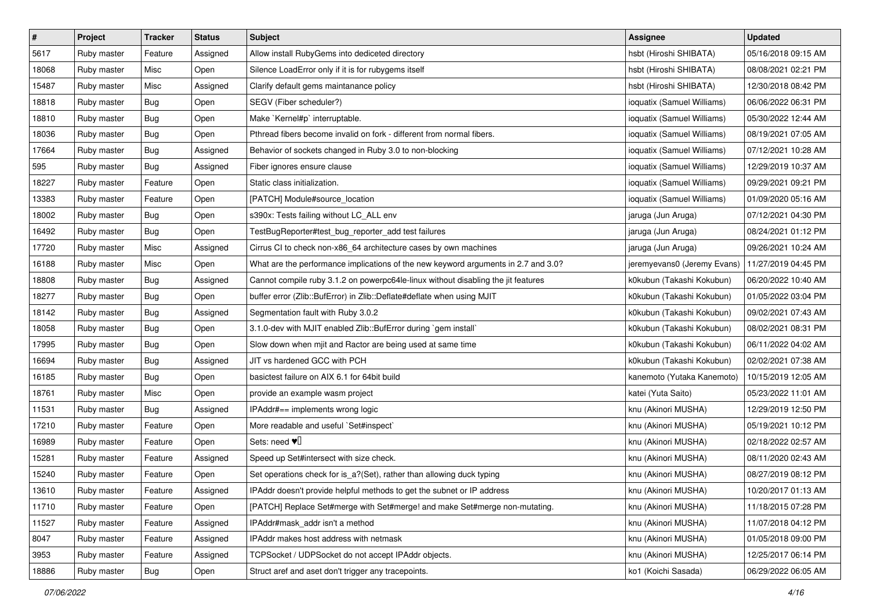| $\sharp$ | Project     | Tracker    | <b>Status</b> | <b>Subject</b>                                                                     | <b>Assignee</b>             | <b>Updated</b>      |
|----------|-------------|------------|---------------|------------------------------------------------------------------------------------|-----------------------------|---------------------|
| 5617     | Ruby master | Feature    | Assigned      | Allow install RubyGems into dediceted directory                                    | hsbt (Hiroshi SHIBATA)      | 05/16/2018 09:15 AM |
| 18068    | Ruby master | Misc       | Open          | Silence LoadError only if it is for rubygems itself                                | hsbt (Hiroshi SHIBATA)      | 08/08/2021 02:21 PM |
| 15487    | Ruby master | Misc       | Assigned      | Clarify default gems maintanance policy                                            | hsbt (Hiroshi SHIBATA)      | 12/30/2018 08:42 PM |
| 18818    | Ruby master | <b>Bug</b> | Open          | SEGV (Fiber scheduler?)                                                            | ioquatix (Samuel Williams)  | 06/06/2022 06:31 PM |
| 18810    | Ruby master | <b>Bug</b> | Open          | Make `Kernel#p` interruptable.                                                     | ioquatix (Samuel Williams)  | 05/30/2022 12:44 AM |
| 18036    | Ruby master | <b>Bug</b> | Open          | Pthread fibers become invalid on fork - different from normal fibers.              | ioquatix (Samuel Williams)  | 08/19/2021 07:05 AM |
| 17664    | Ruby master | <b>Bug</b> | Assigned      | Behavior of sockets changed in Ruby 3.0 to non-blocking                            | ioquatix (Samuel Williams)  | 07/12/2021 10:28 AM |
| 595      | Ruby master | <b>Bug</b> | Assigned      | Fiber ignores ensure clause                                                        | ioquatix (Samuel Williams)  | 12/29/2019 10:37 AM |
| 18227    | Ruby master | Feature    | Open          | Static class initialization.                                                       | ioquatix (Samuel Williams)  | 09/29/2021 09:21 PM |
| 13383    | Ruby master | Feature    | Open          | [PATCH] Module#source_location                                                     | ioquatix (Samuel Williams)  | 01/09/2020 05:16 AM |
| 18002    | Ruby master | <b>Bug</b> | Open          | s390x: Tests failing without LC_ALL env                                            | jaruga (Jun Aruga)          | 07/12/2021 04:30 PM |
| 16492    | Ruby master | <b>Bug</b> | Open          | TestBugReporter#test_bug_reporter_add test failures                                | jaruga (Jun Aruga)          | 08/24/2021 01:12 PM |
| 17720    | Ruby master | Misc       | Assigned      | Cirrus CI to check non-x86_64 architecture cases by own machines                   | jaruga (Jun Aruga)          | 09/26/2021 10:24 AM |
| 16188    | Ruby master | Misc       | Open          | What are the performance implications of the new keyword arguments in 2.7 and 3.0? | jeremyevans0 (Jeremy Evans) | 11/27/2019 04:45 PM |
| 18808    | Ruby master | <b>Bug</b> | Assigned      | Cannot compile ruby 3.1.2 on powerpc64le-linux without disabling the jit features  | k0kubun (Takashi Kokubun)   | 06/20/2022 10:40 AM |
| 18277    | Ruby master | <b>Bug</b> | Open          | buffer error (Zlib::BufError) in Zlib::Deflate#deflate when using MJIT             | k0kubun (Takashi Kokubun)   | 01/05/2022 03:04 PM |
| 18142    | Ruby master | Bug        | Assigned      | Segmentation fault with Ruby 3.0.2                                                 | k0kubun (Takashi Kokubun)   | 09/02/2021 07:43 AM |
| 18058    | Ruby master | Bug        | Open          | 3.1.0-dev with MJIT enabled Zlib::BufError during `gem install`                    | k0kubun (Takashi Kokubun)   | 08/02/2021 08:31 PM |
| 17995    | Ruby master | <b>Bug</b> | Open          | Slow down when mjit and Ractor are being used at same time                         | k0kubun (Takashi Kokubun)   | 06/11/2022 04:02 AM |
| 16694    | Ruby master | <b>Bug</b> | Assigned      | JIT vs hardened GCC with PCH                                                       | k0kubun (Takashi Kokubun)   | 02/02/2021 07:38 AM |
| 16185    | Ruby master | <b>Bug</b> | Open          | basictest failure on AIX 6.1 for 64bit build                                       | kanemoto (Yutaka Kanemoto)  | 10/15/2019 12:05 AM |
| 18761    | Ruby master | Misc       | Open          | provide an example wasm project                                                    | katei (Yuta Saito)          | 05/23/2022 11:01 AM |
| 11531    | Ruby master | Bug        | Assigned      | IPAddr#== implements wrong logic                                                   | knu (Akinori MUSHA)         | 12/29/2019 12:50 PM |
| 17210    | Ruby master | Feature    | Open          | More readable and useful `Set#inspect`                                             | knu (Akinori MUSHA)         | 05/19/2021 10:12 PM |
| 16989    | Ruby master | Feature    | Open          | Sets: need $\Psi$                                                                  | knu (Akinori MUSHA)         | 02/18/2022 02:57 AM |
| 15281    | Ruby master | Feature    | Assigned      | Speed up Set#intersect with size check.                                            | knu (Akinori MUSHA)         | 08/11/2020 02:43 AM |
| 15240    | Ruby master | Feature    | Open          | Set operations check for is_a?(Set), rather than allowing duck typing              | knu (Akinori MUSHA)         | 08/27/2019 08:12 PM |
| 13610    | Ruby master | Feature    | Assigned      | IPAddr doesn't provide helpful methods to get the subnet or IP address             | knu (Akinori MUSHA)         | 10/20/2017 01:13 AM |
| 11710    | Ruby master | Feature    | Open          | [PATCH] Replace Set#merge with Set#merge! and make Set#merge non-mutating.         | knu (Akinori MUSHA)         | 11/18/2015 07:28 PM |
| 11527    | Ruby master | Feature    | Assigned      | IPAddr#mask_addr isn't a method                                                    | knu (Akinori MUSHA)         | 11/07/2018 04:12 PM |
| 8047     | Ruby master | Feature    | Assigned      | IPAddr makes host address with netmask                                             | knu (Akinori MUSHA)         | 01/05/2018 09:00 PM |
| 3953     | Ruby master | Feature    | Assigned      | TCPSocket / UDPSocket do not accept IPAddr objects.                                | knu (Akinori MUSHA)         | 12/25/2017 06:14 PM |
| 18886    | Ruby master | <b>Bug</b> | Open          | Struct aref and aset don't trigger any tracepoints.                                | ko1 (Koichi Sasada)         | 06/29/2022 06:05 AM |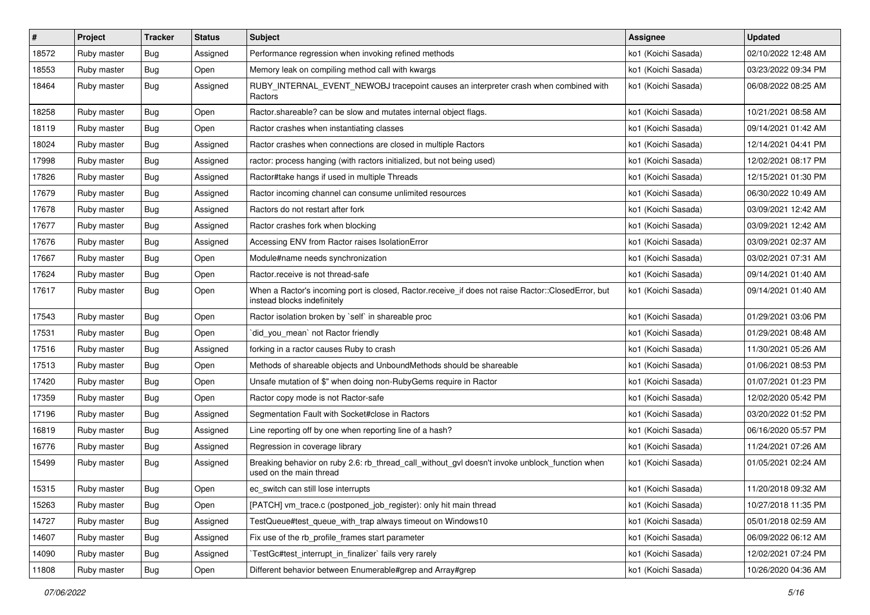| $\sharp$ | Project     | <b>Tracker</b> | <b>Status</b> | <b>Subject</b>                                                                                                                    | <b>Assignee</b>     | <b>Updated</b>      |
|----------|-------------|----------------|---------------|-----------------------------------------------------------------------------------------------------------------------------------|---------------------|---------------------|
| 18572    | Ruby master | <b>Bug</b>     | Assigned      | Performance regression when invoking refined methods                                                                              | ko1 (Koichi Sasada) | 02/10/2022 12:48 AM |
| 18553    | Ruby master | Bug            | Open          | Memory leak on compiling method call with kwargs                                                                                  | ko1 (Koichi Sasada) | 03/23/2022 09:34 PM |
| 18464    | Ruby master | Bug            | Assigned      | RUBY_INTERNAL_EVENT_NEWOBJ tracepoint causes an interpreter crash when combined with<br>Ractors                                   | ko1 (Koichi Sasada) | 06/08/2022 08:25 AM |
| 18258    | Ruby master | Bug            | Open          | Ractor shareable? can be slow and mutates internal object flags.                                                                  | ko1 (Koichi Sasada) | 10/21/2021 08:58 AM |
| 18119    | Ruby master | Bug            | Open          | Ractor crashes when instantiating classes                                                                                         | ko1 (Koichi Sasada) | 09/14/2021 01:42 AM |
| 18024    | Ruby master | <b>Bug</b>     | Assigned      | Ractor crashes when connections are closed in multiple Ractors                                                                    | ko1 (Koichi Sasada) | 12/14/2021 04:41 PM |
| 17998    | Ruby master | Bug            | Assigned      | ractor: process hanging (with ractors initialized, but not being used)                                                            | ko1 (Koichi Sasada) | 12/02/2021 08:17 PM |
| 17826    | Ruby master | Bug            | Assigned      | Ractor#take hangs if used in multiple Threads                                                                                     | ko1 (Koichi Sasada) | 12/15/2021 01:30 PM |
| 17679    | Ruby master | Bug            | Assigned      | Ractor incoming channel can consume unlimited resources                                                                           | ko1 (Koichi Sasada) | 06/30/2022 10:49 AM |
| 17678    | Ruby master | Bug            | Assigned      | Ractors do not restart after fork                                                                                                 | ko1 (Koichi Sasada) | 03/09/2021 12:42 AM |
| 17677    | Ruby master | <b>Bug</b>     | Assigned      | Ractor crashes fork when blocking                                                                                                 | ko1 (Koichi Sasada) | 03/09/2021 12:42 AM |
| 17676    | Ruby master | Bug            | Assigned      | Accessing ENV from Ractor raises IsolationError                                                                                   | ko1 (Koichi Sasada) | 03/09/2021 02:37 AM |
| 17667    | Ruby master | <b>Bug</b>     | Open          | Module#name needs synchronization                                                                                                 | ko1 (Koichi Sasada) | 03/02/2021 07:31 AM |
| 17624    | Ruby master | Bug            | Open          | Ractor.receive is not thread-safe                                                                                                 | ko1 (Koichi Sasada) | 09/14/2021 01:40 AM |
| 17617    | Ruby master | Bug            | Open          | When a Ractor's incoming port is closed, Ractor.receive_if does not raise Ractor::ClosedError, but<br>instead blocks indefinitely | ko1 (Koichi Sasada) | 09/14/2021 01:40 AM |
| 17543    | Ruby master | Bug            | Open          | Ractor isolation broken by `self` in shareable proc                                                                               | ko1 (Koichi Sasada) | 01/29/2021 03:06 PM |
| 17531    | Ruby master | Bug            | Open          | `did_you_mean` not Ractor friendly                                                                                                | ko1 (Koichi Sasada) | 01/29/2021 08:48 AM |
| 17516    | Ruby master | <b>Bug</b>     | Assigned      | forking in a ractor causes Ruby to crash                                                                                          | ko1 (Koichi Sasada) | 11/30/2021 05:26 AM |
| 17513    | Ruby master | Bug            | Open          | Methods of shareable objects and UnboundMethods should be shareable                                                               | ko1 (Koichi Sasada) | 01/06/2021 08:53 PM |
| 17420    | Ruby master | <b>Bug</b>     | Open          | Unsafe mutation of \$" when doing non-RubyGems require in Ractor                                                                  | ko1 (Koichi Sasada) | 01/07/2021 01:23 PM |
| 17359    | Ruby master | Bug            | Open          | Ractor copy mode is not Ractor-safe                                                                                               | ko1 (Koichi Sasada) | 12/02/2020 05:42 PM |
| 17196    | Ruby master | Bug            | Assigned      | Segmentation Fault with Socket#close in Ractors                                                                                   | ko1 (Koichi Sasada) | 03/20/2022 01:52 PM |
| 16819    | Ruby master | <b>Bug</b>     | Assigned      | Line reporting off by one when reporting line of a hash?                                                                          | ko1 (Koichi Sasada) | 06/16/2020 05:57 PM |
| 16776    | Ruby master | Bug            | Assigned      | Regression in coverage library                                                                                                    | ko1 (Koichi Sasada) | 11/24/2021 07:26 AM |
| 15499    | Ruby master | Bug            | Assigned      | Breaking behavior on ruby 2.6: rb_thread_call_without_gvl doesn't invoke unblock_function when<br>used on the main thread         | ko1 (Koichi Sasada) | 01/05/2021 02:24 AM |
| 15315    | Ruby master | Bug            | Open          | ec_switch can still lose interrupts                                                                                               | ko1 (Koichi Sasada) | 11/20/2018 09:32 AM |
| 15263    | Ruby master | Bug            | Open          | [PATCH] vm_trace.c (postponed_job_register): only hit main thread                                                                 | ko1 (Koichi Sasada) | 10/27/2018 11:35 PM |
| 14727    | Ruby master | Bug            | Assigned      | TestQueue#test_queue_with_trap always timeout on Windows10                                                                        | ko1 (Koichi Sasada) | 05/01/2018 02:59 AM |
| 14607    | Ruby master | Bug            | Assigned      | Fix use of the rb_profile_frames start parameter                                                                                  | ko1 (Koichi Sasada) | 06/09/2022 06:12 AM |
| 14090    | Ruby master | Bug            | Assigned      | TestGc#test_interrupt_in_finalizer` fails very rarely                                                                             | ko1 (Koichi Sasada) | 12/02/2021 07:24 PM |
| 11808    | Ruby master | <b>Bug</b>     | Open          | Different behavior between Enumerable#grep and Array#grep                                                                         | ko1 (Koichi Sasada) | 10/26/2020 04:36 AM |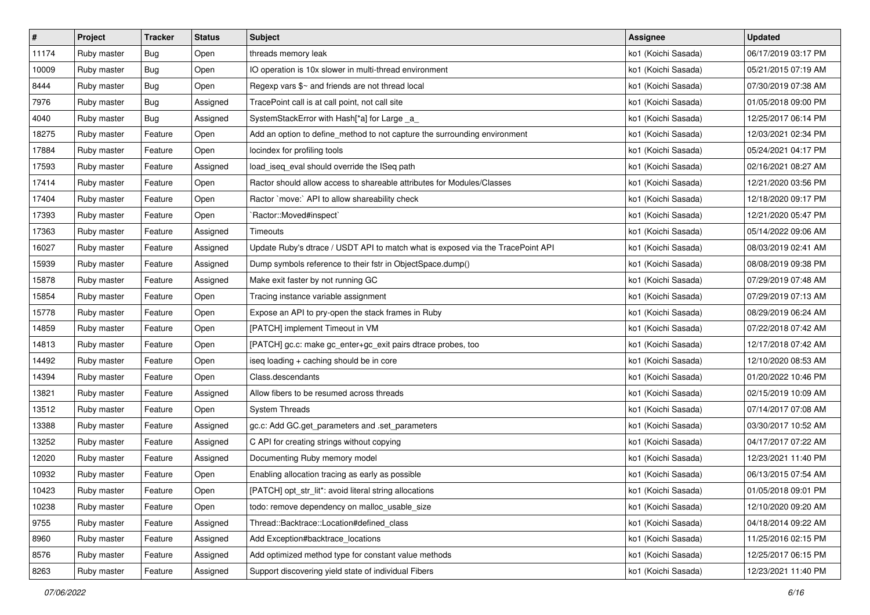| $\sharp$ | Project     | <b>Tracker</b> | <b>Status</b> | <b>Subject</b>                                                                  | Assignee            | <b>Updated</b>      |
|----------|-------------|----------------|---------------|---------------------------------------------------------------------------------|---------------------|---------------------|
| 11174    | Ruby master | <b>Bug</b>     | Open          | threads memory leak                                                             | ko1 (Koichi Sasada) | 06/17/2019 03:17 PM |
| 10009    | Ruby master | <b>Bug</b>     | Open          | IO operation is 10x slower in multi-thread environment                          | ko1 (Koichi Sasada) | 05/21/2015 07:19 AM |
| 8444     | Ruby master | <b>Bug</b>     | Open          | Regexp vars \$~ and friends are not thread local                                | ko1 (Koichi Sasada) | 07/30/2019 07:38 AM |
| 7976     | Ruby master | <b>Bug</b>     | Assigned      | TracePoint call is at call point, not call site                                 | ko1 (Koichi Sasada) | 01/05/2018 09:00 PM |
| 4040     | Ruby master | Bug            | Assigned      | SystemStackError with Hash[*a] for Large _a_                                    | ko1 (Koichi Sasada) | 12/25/2017 06:14 PM |
| 18275    | Ruby master | Feature        | Open          | Add an option to define_method to not capture the surrounding environment       | ko1 (Koichi Sasada) | 12/03/2021 02:34 PM |
| 17884    | Ruby master | Feature        | Open          | locindex for profiling tools                                                    | ko1 (Koichi Sasada) | 05/24/2021 04:17 PM |
| 17593    | Ruby master | Feature        | Assigned      | load_iseq_eval should override the ISeq path                                    | ko1 (Koichi Sasada) | 02/16/2021 08:27 AM |
| 17414    | Ruby master | Feature        | Open          | Ractor should allow access to shareable attributes for Modules/Classes          | ko1 (Koichi Sasada) | 12/21/2020 03:56 PM |
| 17404    | Ruby master | Feature        | Open          | Ractor `move:` API to allow shareability check                                  | ko1 (Koichi Sasada) | 12/18/2020 09:17 PM |
| 17393    | Ruby master | Feature        | Open          | `Ractor::Moved#inspect`                                                         | ko1 (Koichi Sasada) | 12/21/2020 05:47 PM |
| 17363    | Ruby master | Feature        | Assigned      | Timeouts                                                                        | ko1 (Koichi Sasada) | 05/14/2022 09:06 AM |
| 16027    | Ruby master | Feature        | Assigned      | Update Ruby's dtrace / USDT API to match what is exposed via the TracePoint API | ko1 (Koichi Sasada) | 08/03/2019 02:41 AM |
| 15939    | Ruby master | Feature        | Assigned      | Dump symbols reference to their fstr in ObjectSpace.dump()                      | ko1 (Koichi Sasada) | 08/08/2019 09:38 PM |
| 15878    | Ruby master | Feature        | Assigned      | Make exit faster by not running GC                                              | ko1 (Koichi Sasada) | 07/29/2019 07:48 AM |
| 15854    | Ruby master | Feature        | Open          | Tracing instance variable assignment                                            | ko1 (Koichi Sasada) | 07/29/2019 07:13 AM |
| 15778    | Ruby master | Feature        | Open          | Expose an API to pry-open the stack frames in Ruby                              | ko1 (Koichi Sasada) | 08/29/2019 06:24 AM |
| 14859    | Ruby master | Feature        | Open          | [PATCH] implement Timeout in VM                                                 | ko1 (Koichi Sasada) | 07/22/2018 07:42 AM |
| 14813    | Ruby master | Feature        | Open          | [PATCH] gc.c: make gc_enter+gc_exit pairs dtrace probes, too                    | ko1 (Koichi Sasada) | 12/17/2018 07:42 AM |
| 14492    | Ruby master | Feature        | Open          | iseq loading + caching should be in core                                        | ko1 (Koichi Sasada) | 12/10/2020 08:53 AM |
| 14394    | Ruby master | Feature        | Open          | Class.descendants                                                               | ko1 (Koichi Sasada) | 01/20/2022 10:46 PM |
| 13821    | Ruby master | Feature        | Assigned      | Allow fibers to be resumed across threads                                       | ko1 (Koichi Sasada) | 02/15/2019 10:09 AM |
| 13512    | Ruby master | Feature        | Open          | <b>System Threads</b>                                                           | ko1 (Koichi Sasada) | 07/14/2017 07:08 AM |
| 13388    | Ruby master | Feature        | Assigned      | gc.c: Add GC.get_parameters and .set_parameters                                 | ko1 (Koichi Sasada) | 03/30/2017 10:52 AM |
| 13252    | Ruby master | Feature        | Assigned      | C API for creating strings without copying                                      | ko1 (Koichi Sasada) | 04/17/2017 07:22 AM |
| 12020    | Ruby master | Feature        | Assigned      | Documenting Ruby memory model                                                   | ko1 (Koichi Sasada) | 12/23/2021 11:40 PM |
| 10932    | Ruby master | Feature        | Open          | Enabling allocation tracing as early as possible                                | ko1 (Koichi Sasada) | 06/13/2015 07:54 AM |
| 10423    | Ruby master | Feature        | Open          | [PATCH] opt_str_lit*: avoid literal string allocations                          | ko1 (Koichi Sasada) | 01/05/2018 09:01 PM |
| 10238    | Ruby master | Feature        | Open          | todo: remove dependency on malloc usable size                                   | ko1 (Koichi Sasada) | 12/10/2020 09:20 AM |
| 9755     | Ruby master | Feature        | Assigned      | Thread::Backtrace::Location#defined_class                                       | ko1 (Koichi Sasada) | 04/18/2014 09:22 AM |
| 8960     | Ruby master | Feature        | Assigned      | Add Exception#backtrace_locations                                               | ko1 (Koichi Sasada) | 11/25/2016 02:15 PM |
| 8576     | Ruby master | Feature        | Assigned      | Add optimized method type for constant value methods                            | ko1 (Koichi Sasada) | 12/25/2017 06:15 PM |
| 8263     | Ruby master | Feature        | Assigned      | Support discovering yield state of individual Fibers                            | ko1 (Koichi Sasada) | 12/23/2021 11:40 PM |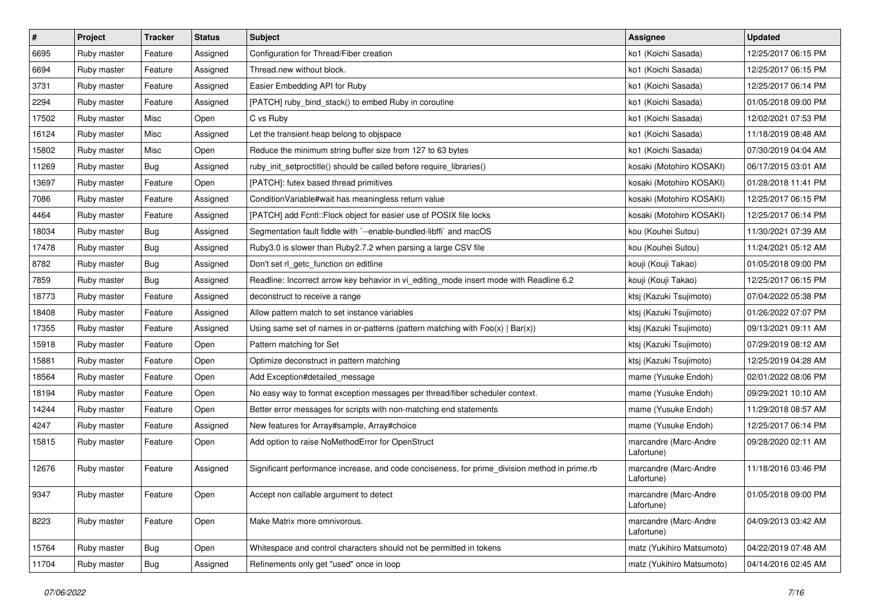| $\vert$ # | Project     | <b>Tracker</b> | <b>Status</b> | <b>Subject</b>                                                                                | Assignee                            | <b>Updated</b>      |
|-----------|-------------|----------------|---------------|-----------------------------------------------------------------------------------------------|-------------------------------------|---------------------|
| 6695      | Ruby master | Feature        | Assigned      | Configuration for Thread/Fiber creation                                                       | ko1 (Koichi Sasada)                 | 12/25/2017 06:15 PM |
| 6694      | Ruby master | Feature        | Assigned      | Thread.new without block.                                                                     | ko1 (Koichi Sasada)                 | 12/25/2017 06:15 PM |
| 3731      | Ruby master | Feature        | Assigned      | Easier Embedding API for Ruby                                                                 | ko1 (Koichi Sasada)                 | 12/25/2017 06:14 PM |
| 2294      | Ruby master | Feature        | Assigned      | [PATCH] ruby_bind_stack() to embed Ruby in coroutine                                          | ko1 (Koichi Sasada)                 | 01/05/2018 09:00 PM |
| 17502     | Ruby master | Misc           | Open          | C vs Ruby                                                                                     | ko1 (Koichi Sasada)                 | 12/02/2021 07:53 PM |
| 16124     | Ruby master | Misc           | Assigned      | Let the transient heap belong to objspace                                                     | ko1 (Koichi Sasada)                 | 11/18/2019 08:48 AM |
| 15802     | Ruby master | Misc           | Open          | Reduce the minimum string buffer size from 127 to 63 bytes                                    | ko1 (Koichi Sasada)                 | 07/30/2019 04:04 AM |
| 11269     | Ruby master | Bug            | Assigned      | ruby_init_setproctitle() should be called before require_libraries()                          | kosaki (Motohiro KOSAKI)            | 06/17/2015 03:01 AM |
| 13697     | Ruby master | Feature        | Open          | [PATCH]: futex based thread primitives                                                        | kosaki (Motohiro KOSAKI)            | 01/28/2018 11:41 PM |
| 7086      | Ruby master | Feature        | Assigned      | ConditionVariable#wait has meaningless return value                                           | kosaki (Motohiro KOSAKI)            | 12/25/2017 06:15 PM |
| 4464      | Ruby master | Feature        | Assigned      | [PATCH] add Fcntl::Flock object for easier use of POSIX file locks                            | kosaki (Motohiro KOSAKI)            | 12/25/2017 06:14 PM |
| 18034     | Ruby master | <b>Bug</b>     | Assigned      | Segmentation fault fiddle with `--enable-bundled-libffi` and macOS                            | kou (Kouhei Sutou)                  | 11/30/2021 07:39 AM |
| 17478     | Ruby master | Bug            | Assigned      | Ruby3.0 is slower than Ruby2.7.2 when parsing a large CSV file                                | kou (Kouhei Sutou)                  | 11/24/2021 05:12 AM |
| 8782      | Ruby master | <b>Bug</b>     | Assigned      | Don't set rl_getc_function on editline                                                        | kouji (Kouji Takao)                 | 01/05/2018 09:00 PM |
| 7859      | Ruby master | Bug            | Assigned      | Readline: Incorrect arrow key behavior in vi_editing_mode insert mode with Readline 6.2       | kouji (Kouji Takao)                 | 12/25/2017 06:15 PM |
| 18773     | Ruby master | Feature        | Assigned      | deconstruct to receive a range                                                                | ktsj (Kazuki Tsujimoto)             | 07/04/2022 05:38 PM |
| 18408     | Ruby master | Feature        | Assigned      | Allow pattern match to set instance variables                                                 | ktsj (Kazuki Tsujimoto)             | 01/26/2022 07:07 PM |
| 17355     | Ruby master | Feature        | Assigned      | Using same set of names in or-patterns (pattern matching with $Foo(x)   Bar(x)$ )             | ktsj (Kazuki Tsujimoto)             | 09/13/2021 09:11 AM |
| 15918     | Ruby master | Feature        | Open          | Pattern matching for Set                                                                      | ktsj (Kazuki Tsujimoto)             | 07/29/2019 08:12 AM |
| 15881     | Ruby master | Feature        | Open          | Optimize deconstruct in pattern matching                                                      | ktsj (Kazuki Tsujimoto)             | 12/25/2019 04:28 AM |
| 18564     | Ruby master | Feature        | Open          | Add Exception#detailed message                                                                | mame (Yusuke Endoh)                 | 02/01/2022 08:06 PM |
| 18194     | Ruby master | Feature        | Open          | No easy way to format exception messages per thread/fiber scheduler context.                  | mame (Yusuke Endoh)                 | 09/29/2021 10:10 AM |
| 14244     | Ruby master | Feature        | Open          | Better error messages for scripts with non-matching end statements                            | mame (Yusuke Endoh)                 | 11/29/2018 08:57 AM |
| 4247      | Ruby master | Feature        | Assigned      | New features for Array#sample, Array#choice                                                   | mame (Yusuke Endoh)                 | 12/25/2017 06:14 PM |
| 15815     | Ruby master | Feature        | Open          | Add option to raise NoMethodError for OpenStruct                                              | marcandre (Marc-Andre<br>Lafortune) | 09/28/2020 02:11 AM |
| 12676     | Ruby master | Feature        | Assigned      | Significant performance increase, and code conciseness, for prime_division method in prime.rb | marcandre (Marc-Andre<br>Lafortune) | 11/18/2016 03:46 PM |
| 9347      | Ruby master | Feature        | Open          | Accept non callable argument to detect                                                        | marcandre (Marc-Andre<br>Lafortune) | 01/05/2018 09:00 PM |
| 8223      | Ruby master | Feature        | Open          | Make Matrix more omnivorous.                                                                  | marcandre (Marc-Andre<br>Lafortune) | 04/09/2013 03:42 AM |
| 15764     | Ruby master | Bug            | Open          | Whitespace and control characters should not be permitted in tokens                           | matz (Yukihiro Matsumoto)           | 04/22/2019 07:48 AM |
| 11704     | Ruby master | Bug            | Assigned      | Refinements only get "used" once in loop                                                      | matz (Yukihiro Matsumoto)           | 04/14/2016 02:45 AM |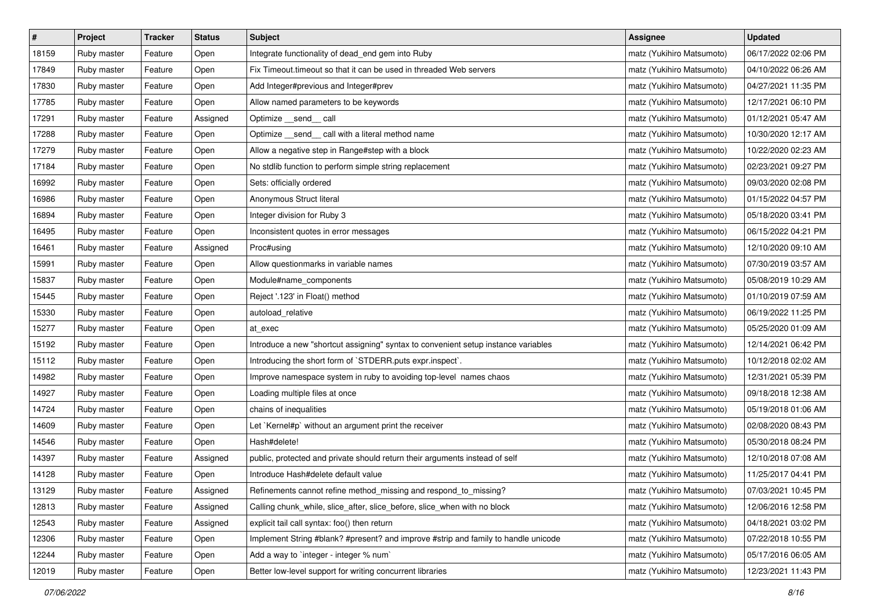| $\sharp$ | Project     | Tracker | <b>Status</b> | <b>Subject</b>                                                                     | <b>Assignee</b>           | <b>Updated</b>      |
|----------|-------------|---------|---------------|------------------------------------------------------------------------------------|---------------------------|---------------------|
| 18159    | Ruby master | Feature | Open          | Integrate functionality of dead_end gem into Ruby                                  | matz (Yukihiro Matsumoto) | 06/17/2022 02:06 PM |
| 17849    | Ruby master | Feature | Open          | Fix Timeout.timeout so that it can be used in threaded Web servers                 | matz (Yukihiro Matsumoto) | 04/10/2022 06:26 AM |
| 17830    | Ruby master | Feature | Open          | Add Integer#previous and Integer#prev                                              | matz (Yukihiro Matsumoto) | 04/27/2021 11:35 PM |
| 17785    | Ruby master | Feature | Open          | Allow named parameters to be keywords                                              | matz (Yukihiro Matsumoto) | 12/17/2021 06:10 PM |
| 17291    | Ruby master | Feature | Assigned      | Optimize __send__ call                                                             | matz (Yukihiro Matsumoto) | 01/12/2021 05:47 AM |
| 17288    | Ruby master | Feature | Open          | Optimize _send_ call with a literal method name                                    | matz (Yukihiro Matsumoto) | 10/30/2020 12:17 AM |
| 17279    | Ruby master | Feature | Open          | Allow a negative step in Range#step with a block                                   | matz (Yukihiro Matsumoto) | 10/22/2020 02:23 AM |
| 17184    | Ruby master | Feature | Open          | No stdlib function to perform simple string replacement                            | matz (Yukihiro Matsumoto) | 02/23/2021 09:27 PM |
| 16992    | Ruby master | Feature | Open          | Sets: officially ordered                                                           | matz (Yukihiro Matsumoto) | 09/03/2020 02:08 PM |
| 16986    | Ruby master | Feature | Open          | Anonymous Struct literal                                                           | matz (Yukihiro Matsumoto) | 01/15/2022 04:57 PM |
| 16894    | Ruby master | Feature | Open          | Integer division for Ruby 3                                                        | matz (Yukihiro Matsumoto) | 05/18/2020 03:41 PM |
| 16495    | Ruby master | Feature | Open          | Inconsistent quotes in error messages                                              | matz (Yukihiro Matsumoto) | 06/15/2022 04:21 PM |
| 16461    | Ruby master | Feature | Assigned      | Proc#using                                                                         | matz (Yukihiro Matsumoto) | 12/10/2020 09:10 AM |
| 15991    | Ruby master | Feature | Open          | Allow questionmarks in variable names                                              | matz (Yukihiro Matsumoto) | 07/30/2019 03:57 AM |
| 15837    | Ruby master | Feature | Open          | Module#name_components                                                             | matz (Yukihiro Matsumoto) | 05/08/2019 10:29 AM |
| 15445    | Ruby master | Feature | Open          | Reject '.123' in Float() method                                                    | matz (Yukihiro Matsumoto) | 01/10/2019 07:59 AM |
| 15330    | Ruby master | Feature | Open          | autoload_relative                                                                  | matz (Yukihiro Matsumoto) | 06/19/2022 11:25 PM |
| 15277    | Ruby master | Feature | Open          | at_exec                                                                            | matz (Yukihiro Matsumoto) | 05/25/2020 01:09 AM |
| 15192    | Ruby master | Feature | Open          | Introduce a new "shortcut assigning" syntax to convenient setup instance variables | matz (Yukihiro Matsumoto) | 12/14/2021 06:42 PM |
| 15112    | Ruby master | Feature | Open          | Introducing the short form of `STDERR.puts expr.inspect`.                          | matz (Yukihiro Matsumoto) | 10/12/2018 02:02 AM |
| 14982    | Ruby master | Feature | Open          | Improve namespace system in ruby to avoiding top-level names chaos                 | matz (Yukihiro Matsumoto) | 12/31/2021 05:39 PM |
| 14927    | Ruby master | Feature | Open          | Loading multiple files at once                                                     | matz (Yukihiro Matsumoto) | 09/18/2018 12:38 AM |
| 14724    | Ruby master | Feature | Open          | chains of inequalities                                                             | matz (Yukihiro Matsumoto) | 05/19/2018 01:06 AM |
| 14609    | Ruby master | Feature | Open          | Let `Kernel#p` without an argument print the receiver                              | matz (Yukihiro Matsumoto) | 02/08/2020 08:43 PM |
| 14546    | Ruby master | Feature | Open          | Hash#delete!                                                                       | matz (Yukihiro Matsumoto) | 05/30/2018 08:24 PM |
| 14397    | Ruby master | Feature | Assigned      | public, protected and private should return their arguments instead of self        | matz (Yukihiro Matsumoto) | 12/10/2018 07:08 AM |
| 14128    | Ruby master | Feature | Open          | Introduce Hash#delete default value                                                | matz (Yukihiro Matsumoto) | 11/25/2017 04:41 PM |
| 13129    | Ruby master | Feature | Assigned      | Refinements cannot refine method_missing and respond_to_missing?                   | matz (Yukihiro Matsumoto) | 07/03/2021 10:45 PM |
| 12813    | Ruby master | Feature | Assigned      | Calling chunk_while, slice_after, slice_before, slice_when with no block           | matz (Yukihiro Matsumoto) | 12/06/2016 12:58 PM |
| 12543    | Ruby master | Feature | Assigned      | explicit tail call syntax: foo() then return                                       | matz (Yukihiro Matsumoto) | 04/18/2021 03:02 PM |
| 12306    | Ruby master | Feature | Open          | Implement String #blank? #present? and improve #strip and family to handle unicode | matz (Yukihiro Matsumoto) | 07/22/2018 10:55 PM |
| 12244    | Ruby master | Feature | Open          | Add a way to 'integer - integer % num'                                             | matz (Yukihiro Matsumoto) | 05/17/2016 06:05 AM |
| 12019    | Ruby master | Feature | Open          | Better low-level support for writing concurrent libraries                          | matz (Yukihiro Matsumoto) | 12/23/2021 11:43 PM |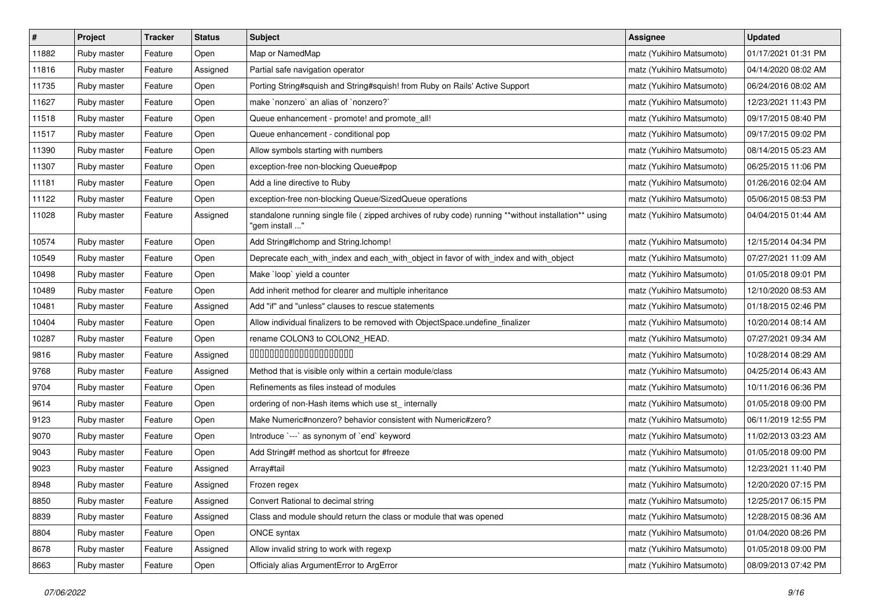| $\vert$ # | Project     | <b>Tracker</b> | <b>Status</b> | <b>Subject</b>                                                                                                         | <b>Assignee</b>           | <b>Updated</b>      |
|-----------|-------------|----------------|---------------|------------------------------------------------------------------------------------------------------------------------|---------------------------|---------------------|
| 11882     | Ruby master | Feature        | Open          | Map or NamedMap                                                                                                        | matz (Yukihiro Matsumoto) | 01/17/2021 01:31 PM |
| 11816     | Ruby master | Feature        | Assigned      | Partial safe navigation operator                                                                                       | matz (Yukihiro Matsumoto) | 04/14/2020 08:02 AM |
| 11735     | Ruby master | Feature        | Open          | Porting String#squish and String#squish! from Ruby on Rails' Active Support                                            | matz (Yukihiro Matsumoto) | 06/24/2016 08:02 AM |
| 11627     | Ruby master | Feature        | Open          | make `nonzero` an alias of `nonzero?`                                                                                  | matz (Yukihiro Matsumoto) | 12/23/2021 11:43 PM |
| 11518     | Ruby master | Feature        | Open          | Queue enhancement - promote! and promote_all!                                                                          | matz (Yukihiro Matsumoto) | 09/17/2015 08:40 PM |
| 11517     | Ruby master | Feature        | Open          | Queue enhancement - conditional pop                                                                                    | matz (Yukihiro Matsumoto) | 09/17/2015 09:02 PM |
| 11390     | Ruby master | Feature        | Open          | Allow symbols starting with numbers                                                                                    | matz (Yukihiro Matsumoto) | 08/14/2015 05:23 AM |
| 11307     | Ruby master | Feature        | Open          | exception-free non-blocking Queue#pop                                                                                  | matz (Yukihiro Matsumoto) | 06/25/2015 11:06 PM |
| 11181     | Ruby master | Feature        | Open          | Add a line directive to Ruby                                                                                           | matz (Yukihiro Matsumoto) | 01/26/2016 02:04 AM |
| 11122     | Ruby master | Feature        | Open          | exception-free non-blocking Queue/SizedQueue operations                                                                | matz (Yukihiro Matsumoto) | 05/06/2015 08:53 PM |
| 11028     | Ruby master | Feature        | Assigned      | standalone running single file (zipped archives of ruby code) running **without installation** using<br>"gem install " | matz (Yukihiro Matsumoto) | 04/04/2015 01:44 AM |
| 10574     | Ruby master | Feature        | Open          | Add String#Ichomp and String.Ichomp!                                                                                   | matz (Yukihiro Matsumoto) | 12/15/2014 04:34 PM |
| 10549     | Ruby master | Feature        | Open          | Deprecate each_with_index and each_with_object in favor of with_index and with_object                                  | matz (Yukihiro Matsumoto) | 07/27/2021 11:09 AM |
| 10498     | Ruby master | Feature        | Open          | Make 'loop' yield a counter                                                                                            | matz (Yukihiro Matsumoto) | 01/05/2018 09:01 PM |
| 10489     | Ruby master | Feature        | Open          | Add inherit method for clearer and multiple inheritance                                                                | matz (Yukihiro Matsumoto) | 12/10/2020 08:53 AM |
| 10481     | Ruby master | Feature        | Assigned      | Add "if" and "unless" clauses to rescue statements                                                                     | matz (Yukihiro Matsumoto) | 01/18/2015 02:46 PM |
| 10404     | Ruby master | Feature        | Open          | Allow individual finalizers to be removed with ObjectSpace.undefine_finalizer                                          | matz (Yukihiro Matsumoto) | 10/20/2014 08:14 AM |
| 10287     | Ruby master | Feature        | Open          | rename COLON3 to COLON2_HEAD.                                                                                          | matz (Yukihiro Matsumoto) | 07/27/2021 09:34 AM |
| 9816      | Ruby master | Feature        | Assigned      | 00000000000000000000                                                                                                   | matz (Yukihiro Matsumoto) | 10/28/2014 08:29 AM |
| 9768      | Ruby master | Feature        | Assigned      | Method that is visible only within a certain module/class                                                              | matz (Yukihiro Matsumoto) | 04/25/2014 06:43 AM |
| 9704      | Ruby master | Feature        | Open          | Refinements as files instead of modules                                                                                | matz (Yukihiro Matsumoto) | 10/11/2016 06:36 PM |
| 9614      | Ruby master | Feature        | Open          | ordering of non-Hash items which use st_ internally                                                                    | matz (Yukihiro Matsumoto) | 01/05/2018 09:00 PM |
| 9123      | Ruby master | Feature        | Open          | Make Numeric#nonzero? behavior consistent with Numeric#zero?                                                           | matz (Yukihiro Matsumoto) | 06/11/2019 12:55 PM |
| 9070      | Ruby master | Feature        | Open          | Introduce `---` as synonym of `end` keyword                                                                            | matz (Yukihiro Matsumoto) | 11/02/2013 03:23 AM |
| 9043      | Ruby master | Feature        | Open          | Add String#f method as shortcut for #freeze                                                                            | matz (Yukihiro Matsumoto) | 01/05/2018 09:00 PM |
| 9023      | Ruby master | Feature        | Assigned      | Array#tail                                                                                                             | matz (Yukihiro Matsumoto) | 12/23/2021 11:40 PM |
| 8948      | Ruby master | Feature        | Assigned      | Frozen regex                                                                                                           | matz (Yukihiro Matsumoto) | 12/20/2020 07:15 PM |
| 8850      | Ruby master | Feature        | Assigned      | Convert Rational to decimal string                                                                                     | matz (Yukihiro Matsumoto) | 12/25/2017 06:15 PM |
| 8839      | Ruby master | Feature        | Assigned      | Class and module should return the class or module that was opened                                                     | matz (Yukihiro Matsumoto) | 12/28/2015 08:36 AM |
| 8804      | Ruby master | Feature        | Open          | ONCE syntax                                                                                                            | matz (Yukihiro Matsumoto) | 01/04/2020 08:26 PM |
| 8678      | Ruby master | Feature        | Assigned      | Allow invalid string to work with regexp                                                                               | matz (Yukihiro Matsumoto) | 01/05/2018 09:00 PM |
| 8663      | Ruby master | Feature        | Open          | Officialy alias ArgumentError to ArgError                                                                              | matz (Yukihiro Matsumoto) | 08/09/2013 07:42 PM |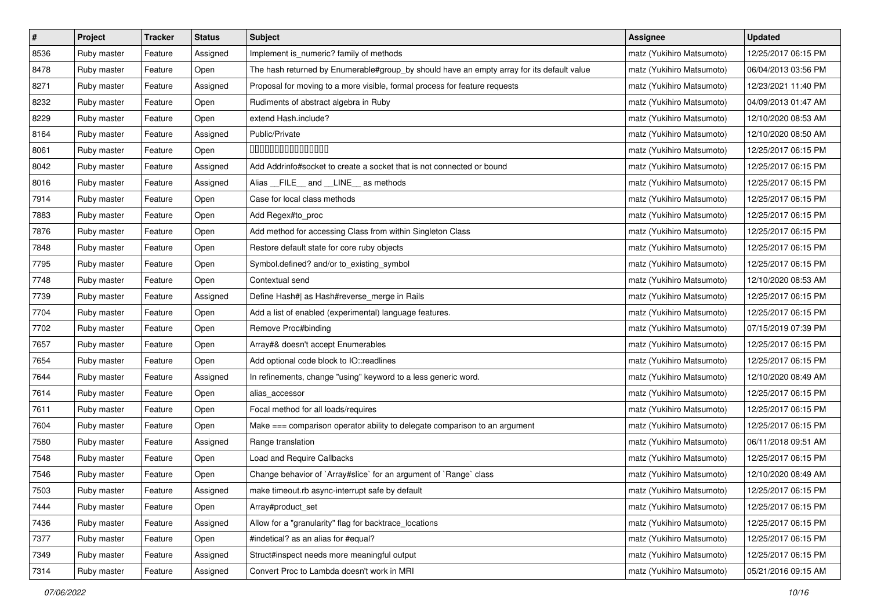| $\#$ | Project     | <b>Tracker</b> | <b>Status</b> | Subject                                                                                   | <b>Assignee</b>           | <b>Updated</b>      |
|------|-------------|----------------|---------------|-------------------------------------------------------------------------------------------|---------------------------|---------------------|
| 8536 | Ruby master | Feature        | Assigned      | Implement is_numeric? family of methods                                                   | matz (Yukihiro Matsumoto) | 12/25/2017 06:15 PM |
| 8478 | Ruby master | Feature        | Open          | The hash returned by Enumerable#group_by should have an empty array for its default value | matz (Yukihiro Matsumoto) | 06/04/2013 03:56 PM |
| 8271 | Ruby master | Feature        | Assigned      | Proposal for moving to a more visible, formal process for feature requests                | matz (Yukihiro Matsumoto) | 12/23/2021 11:40 PM |
| 8232 | Ruby master | Feature        | Open          | Rudiments of abstract algebra in Ruby                                                     | matz (Yukihiro Matsumoto) | 04/09/2013 01:47 AM |
| 8229 | Ruby master | Feature        | Open          | extend Hash.include?                                                                      | matz (Yukihiro Matsumoto) | 12/10/2020 08:53 AM |
| 8164 | Ruby master | Feature        | Assigned      | Public/Private                                                                            | matz (Yukihiro Matsumoto) | 12/10/2020 08:50 AM |
| 8061 | Ruby master | Feature        | Open          | 00000000000000                                                                            | matz (Yukihiro Matsumoto) | 12/25/2017 06:15 PM |
| 8042 | Ruby master | Feature        | Assigned      | Add Addrinfo#socket to create a socket that is not connected or bound                     | matz (Yukihiro Matsumoto) | 12/25/2017 06:15 PM |
| 8016 | Ruby master | Feature        | Assigned      | Alias __FILE__ and __LINE__ as methods                                                    | matz (Yukihiro Matsumoto) | 12/25/2017 06:15 PM |
| 7914 | Ruby master | Feature        | Open          | Case for local class methods                                                              | matz (Yukihiro Matsumoto) | 12/25/2017 06:15 PM |
| 7883 | Ruby master | Feature        | Open          | Add Regex#to_proc                                                                         | matz (Yukihiro Matsumoto) | 12/25/2017 06:15 PM |
| 7876 | Ruby master | Feature        | Open          | Add method for accessing Class from within Singleton Class                                | matz (Yukihiro Matsumoto) | 12/25/2017 06:15 PM |
| 7848 | Ruby master | Feature        | Open          | Restore default state for core ruby objects                                               | matz (Yukihiro Matsumoto) | 12/25/2017 06:15 PM |
| 7795 | Ruby master | Feature        | Open          | Symbol.defined? and/or to_existing_symbol                                                 | matz (Yukihiro Matsumoto) | 12/25/2017 06:15 PM |
| 7748 | Ruby master | Feature        | Open          | Contextual send                                                                           | matz (Yukihiro Matsumoto) | 12/10/2020 08:53 AM |
| 7739 | Ruby master | Feature        | Assigned      | Define Hash#  as Hash#reverse_merge in Rails                                              | matz (Yukihiro Matsumoto) | 12/25/2017 06:15 PM |
| 7704 | Ruby master | Feature        | Open          | Add a list of enabled (experimental) language features.                                   | matz (Yukihiro Matsumoto) | 12/25/2017 06:15 PM |
| 7702 | Ruby master | Feature        | Open          | Remove Proc#binding                                                                       | matz (Yukihiro Matsumoto) | 07/15/2019 07:39 PM |
| 7657 | Ruby master | Feature        | Open          | Array#& doesn't accept Enumerables                                                        | matz (Yukihiro Matsumoto) | 12/25/2017 06:15 PM |
| 7654 | Ruby master | Feature        | Open          | Add optional code block to IO::readlines                                                  | matz (Yukihiro Matsumoto) | 12/25/2017 06:15 PM |
| 7644 | Ruby master | Feature        | Assigned      | In refinements, change "using" keyword to a less generic word.                            | matz (Yukihiro Matsumoto) | 12/10/2020 08:49 AM |
| 7614 | Ruby master | Feature        | Open          | alias accessor                                                                            | matz (Yukihiro Matsumoto) | 12/25/2017 06:15 PM |
| 7611 | Ruby master | Feature        | Open          | Focal method for all loads/requires                                                       | matz (Yukihiro Matsumoto) | 12/25/2017 06:15 PM |
| 7604 | Ruby master | Feature        | Open          | Make === comparison operator ability to delegate comparison to an argument                | matz (Yukihiro Matsumoto) | 12/25/2017 06:15 PM |
| 7580 | Ruby master | Feature        | Assigned      | Range translation                                                                         | matz (Yukihiro Matsumoto) | 06/11/2018 09:51 AM |
| 7548 | Ruby master | Feature        | Open          | Load and Require Callbacks                                                                | matz (Yukihiro Matsumoto) | 12/25/2017 06:15 PM |
| 7546 | Ruby master | Feature        | Open          | Change behavior of `Array#slice` for an argument of `Range` class                         | matz (Yukihiro Matsumoto) | 12/10/2020 08:49 AM |
| 7503 | Ruby master | Feature        | Assigned      | make timeout.rb async-interrupt safe by default                                           | matz (Yukihiro Matsumoto) | 12/25/2017 06:15 PM |
| 7444 | Ruby master | Feature        | Open          | Array#product set                                                                         | matz (Yukihiro Matsumoto) | 12/25/2017 06:15 PM |
| 7436 | Ruby master | Feature        | Assigned      | Allow for a "granularity" flag for backtrace_locations                                    | matz (Yukihiro Matsumoto) | 12/25/2017 06:15 PM |
| 7377 | Ruby master | Feature        | Open          | #indetical? as an alias for #equal?                                                       | matz (Yukihiro Matsumoto) | 12/25/2017 06:15 PM |
| 7349 | Ruby master | Feature        | Assigned      | Struct#inspect needs more meaningful output                                               | matz (Yukihiro Matsumoto) | 12/25/2017 06:15 PM |
| 7314 | Ruby master | Feature        | Assigned      | Convert Proc to Lambda doesn't work in MRI                                                | matz (Yukihiro Matsumoto) | 05/21/2016 09:15 AM |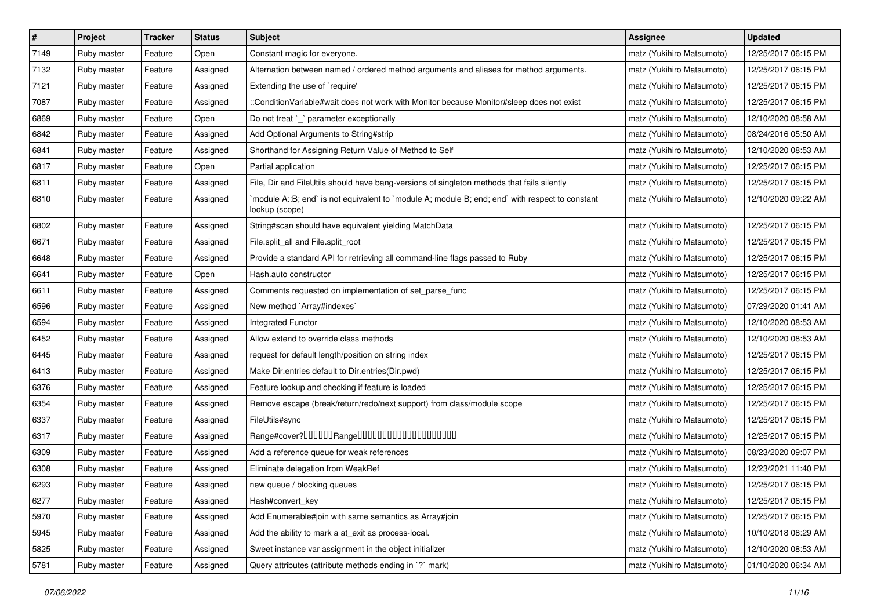| $\vert$ # | Project     | <b>Tracker</b> | <b>Status</b> | Subject                                                                                                          | <b>Assignee</b>           | <b>Updated</b>      |
|-----------|-------------|----------------|---------------|------------------------------------------------------------------------------------------------------------------|---------------------------|---------------------|
| 7149      | Ruby master | Feature        | Open          | Constant magic for everyone.                                                                                     | matz (Yukihiro Matsumoto) | 12/25/2017 06:15 PM |
| 7132      | Ruby master | Feature        | Assigned      | Alternation between named / ordered method arguments and aliases for method arguments.                           | matz (Yukihiro Matsumoto) | 12/25/2017 06:15 PM |
| 7121      | Ruby master | Feature        | Assigned      | Extending the use of `require'                                                                                   | matz (Yukihiro Matsumoto) | 12/25/2017 06:15 PM |
| 7087      | Ruby master | Feature        | Assigned      | ::ConditionVariable#wait does not work with Monitor because Monitor#sleep does not exist                         | matz (Yukihiro Matsumoto) | 12/25/2017 06:15 PM |
| 6869      | Ruby master | Feature        | Open          | Do not treat `_` parameter exceptionally                                                                         | matz (Yukihiro Matsumoto) | 12/10/2020 08:58 AM |
| 6842      | Ruby master | Feature        | Assigned      | Add Optional Arguments to String#strip                                                                           | matz (Yukihiro Matsumoto) | 08/24/2016 05:50 AM |
| 6841      | Ruby master | Feature        | Assigned      | Shorthand for Assigning Return Value of Method to Self                                                           | matz (Yukihiro Matsumoto) | 12/10/2020 08:53 AM |
| 6817      | Ruby master | Feature        | Open          | Partial application                                                                                              | matz (Yukihiro Matsumoto) | 12/25/2017 06:15 PM |
| 6811      | Ruby master | Feature        | Assigned      | File, Dir and FileUtils should have bang-versions of singleton methods that fails silently                       | matz (Yukihiro Matsumoto) | 12/25/2017 06:15 PM |
| 6810      | Ruby master | Feature        | Assigned      | module A::B; end` is not equivalent to `module A; module B; end; end` with respect to constant<br>lookup (scope) | matz (Yukihiro Matsumoto) | 12/10/2020 09:22 AM |
| 6802      | Ruby master | Feature        | Assigned      | String#scan should have equivalent yielding MatchData                                                            | matz (Yukihiro Matsumoto) | 12/25/2017 06:15 PM |
| 6671      | Ruby master | Feature        | Assigned      | File.split_all and File.split_root                                                                               | matz (Yukihiro Matsumoto) | 12/25/2017 06:15 PM |
| 6648      | Ruby master | Feature        | Assigned      | Provide a standard API for retrieving all command-line flags passed to Ruby                                      | matz (Yukihiro Matsumoto) | 12/25/2017 06:15 PM |
| 6641      | Ruby master | Feature        | Open          | Hash.auto constructor                                                                                            | matz (Yukihiro Matsumoto) | 12/25/2017 06:15 PM |
| 6611      | Ruby master | Feature        | Assigned      | Comments requested on implementation of set_parse_func                                                           | matz (Yukihiro Matsumoto) | 12/25/2017 06:15 PM |
| 6596      | Ruby master | Feature        | Assigned      | New method `Array#indexes`                                                                                       | matz (Yukihiro Matsumoto) | 07/29/2020 01:41 AM |
| 6594      | Ruby master | Feature        | Assigned      | Integrated Functor                                                                                               | matz (Yukihiro Matsumoto) | 12/10/2020 08:53 AM |
| 6452      | Ruby master | Feature        | Assigned      | Allow extend to override class methods                                                                           | matz (Yukihiro Matsumoto) | 12/10/2020 08:53 AM |
| 6445      | Ruby master | Feature        | Assigned      | request for default length/position on string index                                                              | matz (Yukihiro Matsumoto) | 12/25/2017 06:15 PM |
| 6413      | Ruby master | Feature        | Assigned      | Make Dir.entries default to Dir.entries(Dir.pwd)                                                                 | matz (Yukihiro Matsumoto) | 12/25/2017 06:15 PM |
| 6376      | Ruby master | Feature        | Assigned      | Feature lookup and checking if feature is loaded                                                                 | matz (Yukihiro Matsumoto) | 12/25/2017 06:15 PM |
| 6354      | Ruby master | Feature        | Assigned      | Remove escape (break/return/redo/next support) from class/module scope                                           | matz (Yukihiro Matsumoto) | 12/25/2017 06:15 PM |
| 6337      | Ruby master | Feature        | Assigned      | FileUtils#sync                                                                                                   | matz (Yukihiro Matsumoto) | 12/25/2017 06:15 PM |
| 6317      | Ruby master | Feature        | Assigned      | Range#cover?000000Range00000000000000000000                                                                      | matz (Yukihiro Matsumoto) | 12/25/2017 06:15 PM |
| 6309      | Ruby master | Feature        | Assigned      | Add a reference queue for weak references                                                                        | matz (Yukihiro Matsumoto) | 08/23/2020 09:07 PM |
| 6308      | Ruby master | Feature        | Assigned      | Eliminate delegation from WeakRef                                                                                | matz (Yukihiro Matsumoto) | 12/23/2021 11:40 PM |
| 6293      | Ruby master | Feature        | Assigned      | new queue / blocking queues                                                                                      | matz (Yukihiro Matsumoto) | 12/25/2017 06:15 PM |
| 6277      | Ruby master | Feature        | Assigned      | Hash#convert_key                                                                                                 | matz (Yukihiro Matsumoto) | 12/25/2017 06:15 PM |
| 5970      | Ruby master | Feature        | Assigned      | Add Enumerable#join with same semantics as Array#join                                                            | matz (Yukihiro Matsumoto) | 12/25/2017 06:15 PM |
| 5945      | Ruby master | Feature        | Assigned      | Add the ability to mark a at_exit as process-local.                                                              | matz (Yukihiro Matsumoto) | 10/10/2018 08:29 AM |
| 5825      | Ruby master | Feature        | Assigned      | Sweet instance var assignment in the object initializer                                                          | matz (Yukihiro Matsumoto) | 12/10/2020 08:53 AM |
| 5781      | Ruby master | Feature        | Assigned      | Query attributes (attribute methods ending in `?` mark)                                                          | matz (Yukihiro Matsumoto) | 01/10/2020 06:34 AM |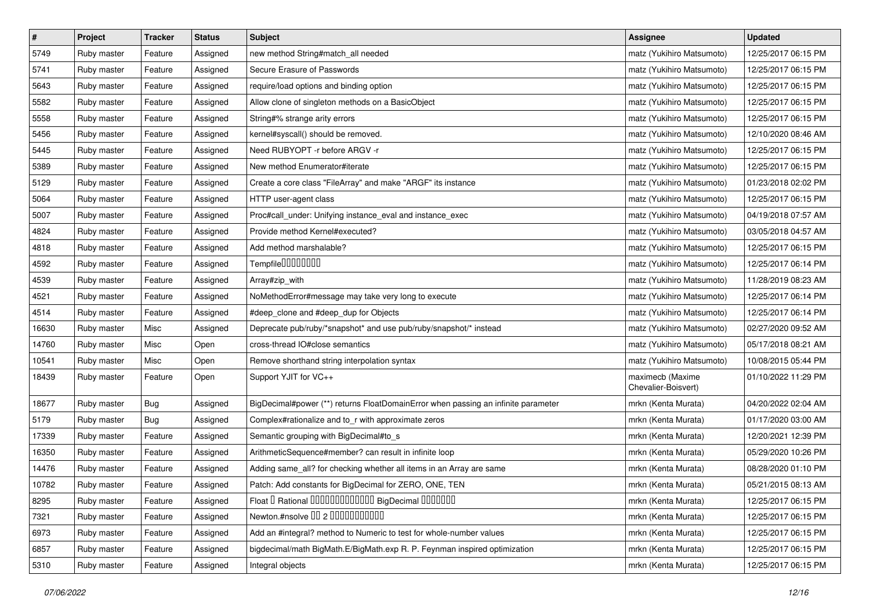| $\pmb{\#}$ | Project     | <b>Tracker</b> | <b>Status</b> | Subject                                                                           | <b>Assignee</b>                         | <b>Updated</b>      |
|------------|-------------|----------------|---------------|-----------------------------------------------------------------------------------|-----------------------------------------|---------------------|
| 5749       | Ruby master | Feature        | Assigned      | new method String#match_all needed                                                | matz (Yukihiro Matsumoto)               | 12/25/2017 06:15 PM |
| 5741       | Ruby master | Feature        | Assigned      | Secure Erasure of Passwords                                                       | matz (Yukihiro Matsumoto)               | 12/25/2017 06:15 PM |
| 5643       | Ruby master | Feature        | Assigned      | require/load options and binding option                                           | matz (Yukihiro Matsumoto)               | 12/25/2017 06:15 PM |
| 5582       | Ruby master | Feature        | Assigned      | Allow clone of singleton methods on a BasicObject                                 | matz (Yukihiro Matsumoto)               | 12/25/2017 06:15 PM |
| 5558       | Ruby master | Feature        | Assigned      | String#% strange arity errors                                                     | matz (Yukihiro Matsumoto)               | 12/25/2017 06:15 PM |
| 5456       | Ruby master | Feature        | Assigned      | kernel#syscall() should be removed.                                               | matz (Yukihiro Matsumoto)               | 12/10/2020 08:46 AM |
| 5445       | Ruby master | Feature        | Assigned      | Need RUBYOPT - r before ARGV - r                                                  | matz (Yukihiro Matsumoto)               | 12/25/2017 06:15 PM |
| 5389       | Ruby master | Feature        | Assigned      | New method Enumerator#iterate                                                     | matz (Yukihiro Matsumoto)               | 12/25/2017 06:15 PM |
| 5129       | Ruby master | Feature        | Assigned      | Create a core class "FileArray" and make "ARGF" its instance                      | matz (Yukihiro Matsumoto)               | 01/23/2018 02:02 PM |
| 5064       | Ruby master | Feature        | Assigned      | HTTP user-agent class                                                             | matz (Yukihiro Matsumoto)               | 12/25/2017 06:15 PM |
| 5007       | Ruby master | Feature        | Assigned      | Proc#call_under: Unifying instance_eval and instance_exec                         | matz (Yukihiro Matsumoto)               | 04/19/2018 07:57 AM |
| 4824       | Ruby master | Feature        | Assigned      | Provide method Kernel#executed?                                                   | matz (Yukihiro Matsumoto)               | 03/05/2018 04:57 AM |
| 4818       | Ruby master | Feature        | Assigned      | Add method marshalable?                                                           | matz (Yukihiro Matsumoto)               | 12/25/2017 06:15 PM |
| 4592       | Ruby master | Feature        | Assigned      | Tempfile0000000                                                                   | matz (Yukihiro Matsumoto)               | 12/25/2017 06:14 PM |
| 4539       | Ruby master | Feature        | Assigned      | Array#zip_with                                                                    | matz (Yukihiro Matsumoto)               | 11/28/2019 08:23 AM |
| 4521       | Ruby master | Feature        | Assigned      | NoMethodError#message may take very long to execute                               | matz (Yukihiro Matsumoto)               | 12/25/2017 06:14 PM |
| 4514       | Ruby master | Feature        | Assigned      | #deep_clone and #deep_dup for Objects                                             | matz (Yukihiro Matsumoto)               | 12/25/2017 06:14 PM |
| 16630      | Ruby master | Misc           | Assigned      | Deprecate pub/ruby/*snapshot* and use pub/ruby/snapshot/* instead                 | matz (Yukihiro Matsumoto)               | 02/27/2020 09:52 AM |
| 14760      | Ruby master | Misc           | Open          | cross-thread IO#close semantics                                                   | matz (Yukihiro Matsumoto)               | 05/17/2018 08:21 AM |
| 10541      | Ruby master | Misc           | Open          | Remove shorthand string interpolation syntax                                      | matz (Yukihiro Matsumoto)               | 10/08/2015 05:44 PM |
| 18439      | Ruby master | Feature        | Open          | Support YJIT for VC++                                                             | maximecb (Maxime<br>Chevalier-Boisvert) | 01/10/2022 11:29 PM |
| 18677      | Ruby master | Bug            | Assigned      | BigDecimal#power (**) returns FloatDomainError when passing an infinite parameter | mrkn (Kenta Murata)                     | 04/20/2022 02:04 AM |
| 5179       | Ruby master | Bug            | Assigned      | Complex#rationalize and to_r with approximate zeros                               | mrkn (Kenta Murata)                     | 01/17/2020 03:00 AM |
| 17339      | Ruby master | Feature        | Assigned      | Semantic grouping with BigDecimal#to_s                                            | mrkn (Kenta Murata)                     | 12/20/2021 12:39 PM |
| 16350      | Ruby master | Feature        | Assigned      | ArithmeticSequence#member? can result in infinite loop                            | mrkn (Kenta Murata)                     | 05/29/2020 10:26 PM |
| 14476      | Ruby master | Feature        | Assigned      | Adding same_all? for checking whether all items in an Array are same              | mrkn (Kenta Murata)                     | 08/28/2020 01:10 PM |
| 10782      | Ruby master | Feature        | Assigned      | Patch: Add constants for BigDecimal for ZERO, ONE, TEN                            | mrkn (Kenta Murata)                     | 05/21/2015 08:13 AM |
| 8295       | Ruby master | Feature        | Assigned      | Float I Rational IIIIIIIIIIIIIIIIIII BigDecimal IIIIIIIIII                        | mrkn (Kenta Murata)                     | 12/25/2017 06:15 PM |
| 7321       | Ruby master | Feature        | Assigned      | Newton.#nsolve 00 2 00000000000                                                   | mrkn (Kenta Murata)                     | 12/25/2017 06:15 PM |
| 6973       | Ruby master | Feature        | Assigned      | Add an #integral? method to Numeric to test for whole-number values               | mrkn (Kenta Murata)                     | 12/25/2017 06:15 PM |
| 6857       | Ruby master | Feature        | Assigned      | bigdecimal/math BigMath.E/BigMath.exp R. P. Feynman inspired optimization         | mrkn (Kenta Murata)                     | 12/25/2017 06:15 PM |
| 5310       | Ruby master | Feature        | Assigned      | Integral objects                                                                  | mrkn (Kenta Murata)                     | 12/25/2017 06:15 PM |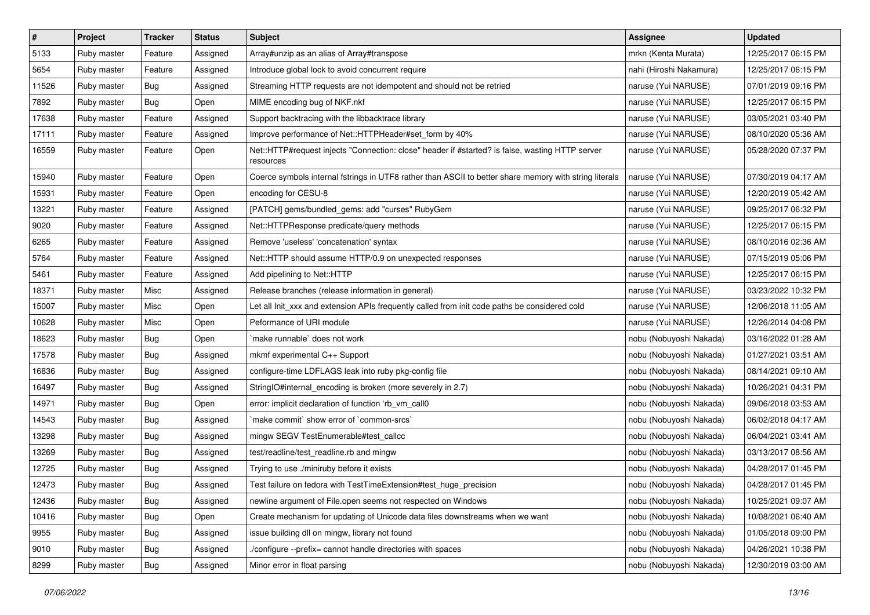| $\sharp$ | Project     | <b>Tracker</b> | <b>Status</b> | <b>Subject</b>                                                                                               | <b>Assignee</b>         | <b>Updated</b>      |
|----------|-------------|----------------|---------------|--------------------------------------------------------------------------------------------------------------|-------------------------|---------------------|
| 5133     | Ruby master | Feature        | Assigned      | Array#unzip as an alias of Array#transpose                                                                   | mrkn (Kenta Murata)     | 12/25/2017 06:15 PM |
| 5654     | Ruby master | Feature        | Assigned      | Introduce global lock to avoid concurrent require                                                            | nahi (Hiroshi Nakamura) | 12/25/2017 06:15 PM |
| 11526    | Ruby master | <b>Bug</b>     | Assigned      | Streaming HTTP requests are not idempotent and should not be retried                                         | naruse (Yui NARUSE)     | 07/01/2019 09:16 PM |
| 7892     | Ruby master | <b>Bug</b>     | Open          | MIME encoding bug of NKF.nkf                                                                                 | naruse (Yui NARUSE)     | 12/25/2017 06:15 PM |
| 17638    | Ruby master | Feature        | Assigned      | Support backtracing with the libbacktrace library                                                            | naruse (Yui NARUSE)     | 03/05/2021 03:40 PM |
| 17111    | Ruby master | Feature        | Assigned      | Improve performance of Net::HTTPHeader#set_form by 40%                                                       | naruse (Yui NARUSE)     | 08/10/2020 05:36 AM |
| 16559    | Ruby master | Feature        | Open          | Net::HTTP#request injects "Connection: close" header if #started? is false, wasting HTTP server<br>resources | naruse (Yui NARUSE)     | 05/28/2020 07:37 PM |
| 15940    | Ruby master | Feature        | Open          | Coerce symbols internal fstrings in UTF8 rather than ASCII to better share memory with string literals       | naruse (Yui NARUSE)     | 07/30/2019 04:17 AM |
| 15931    | Ruby master | Feature        | Open          | encoding for CESU-8                                                                                          | naruse (Yui NARUSE)     | 12/20/2019 05:42 AM |
| 13221    | Ruby master | Feature        | Assigned      | [PATCH] gems/bundled_gems: add "curses" RubyGem                                                              | naruse (Yui NARUSE)     | 09/25/2017 06:32 PM |
| 9020     | Ruby master | Feature        | Assigned      | Net::HTTPResponse predicate/query methods                                                                    | naruse (Yui NARUSE)     | 12/25/2017 06:15 PM |
| 6265     | Ruby master | Feature        | Assigned      | Remove 'useless' 'concatenation' syntax                                                                      | naruse (Yui NARUSE)     | 08/10/2016 02:36 AM |
| 5764     | Ruby master | Feature        | Assigned      | Net::HTTP should assume HTTP/0.9 on unexpected responses                                                     | naruse (Yui NARUSE)     | 07/15/2019 05:06 PM |
| 5461     | Ruby master | Feature        | Assigned      | Add pipelining to Net::HTTP                                                                                  | naruse (Yui NARUSE)     | 12/25/2017 06:15 PM |
| 18371    | Ruby master | Misc           | Assigned      | Release branches (release information in general)                                                            | naruse (Yui NARUSE)     | 03/23/2022 10:32 PM |
| 15007    | Ruby master | Misc           | Open          | Let all Init_xxx and extension APIs frequently called from init code paths be considered cold                | naruse (Yui NARUSE)     | 12/06/2018 11:05 AM |
| 10628    | Ruby master | Misc           | Open          | Peformance of URI module                                                                                     | naruse (Yui NARUSE)     | 12/26/2014 04:08 PM |
| 18623    | Ruby master | <b>Bug</b>     | Open          | make runnable' does not work                                                                                 | nobu (Nobuyoshi Nakada) | 03/16/2022 01:28 AM |
| 17578    | Ruby master | Bug            | Assigned      | mkmf experimental C++ Support                                                                                | nobu (Nobuyoshi Nakada) | 01/27/2021 03:51 AM |
| 16836    | Ruby master | <b>Bug</b>     | Assigned      | configure-time LDFLAGS leak into ruby pkg-config file                                                        | nobu (Nobuyoshi Nakada) | 08/14/2021 09:10 AM |
| 16497    | Ruby master | <b>Bug</b>     | Assigned      | StringIO#internal_encoding is broken (more severely in 2.7)                                                  | nobu (Nobuyoshi Nakada) | 10/26/2021 04:31 PM |
| 14971    | Ruby master | <b>Bug</b>     | Open          | error: implicit declaration of function 'rb_vm_call0                                                         | nobu (Nobuyoshi Nakada) | 09/06/2018 03:53 AM |
| 14543    | Ruby master | Bug            | Assigned      | `make commit` show error of `common-srcs`                                                                    | nobu (Nobuyoshi Nakada) | 06/02/2018 04:17 AM |
| 13298    | Ruby master | Bug            | Assigned      | mingw SEGV TestEnumerable#test_callcc                                                                        | nobu (Nobuyoshi Nakada) | 06/04/2021 03:41 AM |
| 13269    | Ruby master | Bug            | Assigned      | test/readline/test_readline.rb and mingw                                                                     | nobu (Nobuyoshi Nakada) | 03/13/2017 08:56 AM |
| 12725    | Ruby master | Bug            | Assigned      | Trying to use ./miniruby before it exists                                                                    | nobu (Nobuyoshi Nakada) | 04/28/2017 01:45 PM |
| 12473    | Ruby master | <b>Bug</b>     | Assigned      | Test failure on fedora with TestTimeExtension#test huge precision                                            | nobu (Nobuyoshi Nakada) | 04/28/2017 01:45 PM |
| 12436    | Ruby master | <b>Bug</b>     | Assigned      | newline argument of File.open seems not respected on Windows                                                 | nobu (Nobuyoshi Nakada) | 10/25/2021 09:07 AM |
| 10416    | Ruby master | <b>Bug</b>     | Open          | Create mechanism for updating of Unicode data files downstreams when we want                                 | nobu (Nobuyoshi Nakada) | 10/08/2021 06:40 AM |
| 9955     | Ruby master | <b>Bug</b>     | Assigned      | issue building dll on mingw, library not found                                                               | nobu (Nobuyoshi Nakada) | 01/05/2018 09:00 PM |
| 9010     | Ruby master | <b>Bug</b>     | Assigned      | ./configure --prefix= cannot handle directories with spaces                                                  | nobu (Nobuyoshi Nakada) | 04/26/2021 10:38 PM |
| 8299     | Ruby master | <b>Bug</b>     | Assigned      | Minor error in float parsing                                                                                 | nobu (Nobuyoshi Nakada) | 12/30/2019 03:00 AM |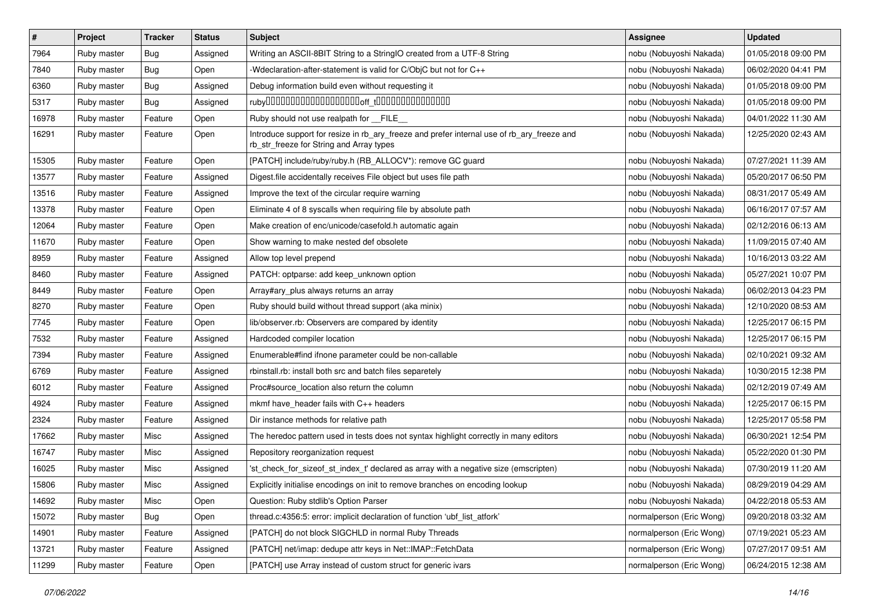| $\sharp$ | Project     | <b>Tracker</b> | <b>Status</b> | Subject                                                                                                                                | Assignee                 | <b>Updated</b>      |
|----------|-------------|----------------|---------------|----------------------------------------------------------------------------------------------------------------------------------------|--------------------------|---------------------|
| 7964     | Ruby master | <b>Bug</b>     | Assigned      | Writing an ASCII-8BIT String to a StringIO created from a UTF-8 String                                                                 | nobu (Nobuyoshi Nakada)  | 01/05/2018 09:00 PM |
| 7840     | Ruby master | Bug            | Open          | -Wdeclaration-after-statement is valid for C/ObjC but not for C++                                                                      | nobu (Nobuyoshi Nakada)  | 06/02/2020 04:41 PM |
| 6360     | Ruby master | Bug            | Assigned      | Debug information build even without requesting it                                                                                     | nobu (Nobuyoshi Nakada)  | 01/05/2018 09:00 PM |
| 5317     | Ruby master | <b>Bug</b>     | Assigned      |                                                                                                                                        | nobu (Nobuyoshi Nakada)  | 01/05/2018 09:00 PM |
| 16978    | Ruby master | Feature        | Open          | Ruby should not use realpath for FILE                                                                                                  | nobu (Nobuyoshi Nakada)  | 04/01/2022 11:30 AM |
| 16291    | Ruby master | Feature        | Open          | Introduce support for resize in rb_ary_freeze and prefer internal use of rb_ary_freeze and<br>rb_str_freeze for String and Array types | nobu (Nobuyoshi Nakada)  | 12/25/2020 02:43 AM |
| 15305    | Ruby master | Feature        | Open          | [PATCH] include/ruby/ruby.h (RB_ALLOCV*): remove GC guard                                                                              | nobu (Nobuyoshi Nakada)  | 07/27/2021 11:39 AM |
| 13577    | Ruby master | Feature        | Assigned      | Digest file accidentally receives File object but uses file path                                                                       | nobu (Nobuyoshi Nakada)  | 05/20/2017 06:50 PM |
| 13516    | Ruby master | Feature        | Assigned      | Improve the text of the circular require warning                                                                                       | nobu (Nobuyoshi Nakada)  | 08/31/2017 05:49 AM |
| 13378    | Ruby master | Feature        | Open          | Eliminate 4 of 8 syscalls when requiring file by absolute path                                                                         | nobu (Nobuyoshi Nakada)  | 06/16/2017 07:57 AM |
| 12064    | Ruby master | Feature        | Open          | Make creation of enc/unicode/casefold.h automatic again                                                                                | nobu (Nobuyoshi Nakada)  | 02/12/2016 06:13 AM |
| 11670    | Ruby master | Feature        | Open          | Show warning to make nested def obsolete                                                                                               | nobu (Nobuyoshi Nakada)  | 11/09/2015 07:40 AM |
| 8959     | Ruby master | Feature        | Assigned      | Allow top level prepend                                                                                                                | nobu (Nobuyoshi Nakada)  | 10/16/2013 03:22 AM |
| 8460     | Ruby master | Feature        | Assigned      | PATCH: optparse: add keep_unknown option                                                                                               | nobu (Nobuyoshi Nakada)  | 05/27/2021 10:07 PM |
| 8449     | Ruby master | Feature        | Open          | Array#ary_plus always returns an array                                                                                                 | nobu (Nobuyoshi Nakada)  | 06/02/2013 04:23 PM |
| 8270     | Ruby master | Feature        | Open          | Ruby should build without thread support (aka minix)                                                                                   | nobu (Nobuyoshi Nakada)  | 12/10/2020 08:53 AM |
| 7745     | Ruby master | Feature        | Open          | lib/observer.rb: Observers are compared by identity                                                                                    | nobu (Nobuyoshi Nakada)  | 12/25/2017 06:15 PM |
| 7532     | Ruby master | Feature        | Assigned      | Hardcoded compiler location                                                                                                            | nobu (Nobuyoshi Nakada)  | 12/25/2017 06:15 PM |
| 7394     | Ruby master | Feature        | Assigned      | Enumerable#find ifnone parameter could be non-callable                                                                                 | nobu (Nobuyoshi Nakada)  | 02/10/2021 09:32 AM |
| 6769     | Ruby master | Feature        | Assigned      | rbinstall.rb: install both src and batch files separetely                                                                              | nobu (Nobuyoshi Nakada)  | 10/30/2015 12:38 PM |
| 6012     | Ruby master | Feature        | Assigned      | Proc#source_location also return the column                                                                                            | nobu (Nobuyoshi Nakada)  | 02/12/2019 07:49 AM |
| 4924     | Ruby master | Feature        | Assigned      | mkmf have_header fails with C++ headers                                                                                                | nobu (Nobuyoshi Nakada)  | 12/25/2017 06:15 PM |
| 2324     | Ruby master | Feature        | Assigned      | Dir instance methods for relative path                                                                                                 | nobu (Nobuyoshi Nakada)  | 12/25/2017 05:58 PM |
| 17662    | Ruby master | Misc           | Assigned      | The heredoc pattern used in tests does not syntax highlight correctly in many editors                                                  | nobu (Nobuyoshi Nakada)  | 06/30/2021 12:54 PM |
| 16747    | Ruby master | Misc           | Assigned      | Repository reorganization request                                                                                                      | nobu (Nobuyoshi Nakada)  | 05/22/2020 01:30 PM |
| 16025    | Ruby master | Misc           | Assigned      | 'st_check_for_sizeof_st_index_t' declared as array with a negative size (emscripten)                                                   | nobu (Nobuyoshi Nakada)  | 07/30/2019 11:20 AM |
| 15806    | Ruby master | Misc           | Assigned      | Explicitly initialise encodings on init to remove branches on encoding lookup                                                          | nobu (Nobuyoshi Nakada)  | 08/29/2019 04:29 AM |
| 14692    | Ruby master | Misc           | Open          | Question: Ruby stdlib's Option Parser                                                                                                  | nobu (Nobuyoshi Nakada)  | 04/22/2018 05:53 AM |
| 15072    | Ruby master | <b>Bug</b>     | Open          | thread.c:4356:5: error: implicit declaration of function 'ubf_list_atfork'                                                             | normalperson (Eric Wong) | 09/20/2018 03:32 AM |
| 14901    | Ruby master | Feature        | Assigned      | [PATCH] do not block SIGCHLD in normal Ruby Threads                                                                                    | normalperson (Eric Wong) | 07/19/2021 05:23 AM |
| 13721    | Ruby master | Feature        | Assigned      | [PATCH] net/imap: dedupe attr keys in Net::IMAP::FetchData                                                                             | normalperson (Eric Wong) | 07/27/2017 09:51 AM |
| 11299    | Ruby master | Feature        | Open          | [PATCH] use Array instead of custom struct for generic ivars                                                                           | normalperson (Eric Wong) | 06/24/2015 12:38 AM |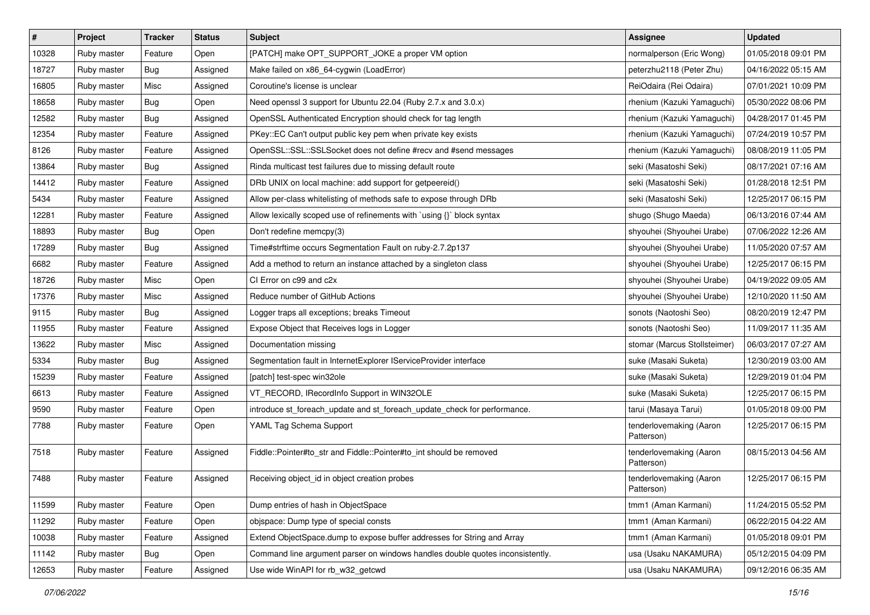| $\vert$ # | Project     | <b>Tracker</b> | <b>Status</b> | <b>Subject</b>                                                                | <b>Assignee</b>                       | <b>Updated</b>      |
|-----------|-------------|----------------|---------------|-------------------------------------------------------------------------------|---------------------------------------|---------------------|
| 10328     | Ruby master | Feature        | Open          | [PATCH] make OPT SUPPORT JOKE a proper VM option                              | normalperson (Eric Wong)              | 01/05/2018 09:01 PM |
| 18727     | Ruby master | Bug            | Assigned      | Make failed on x86_64-cygwin (LoadError)                                      | peterzhu2118 (Peter Zhu)              | 04/16/2022 05:15 AM |
| 16805     | Ruby master | Misc           | Assigned      | Coroutine's license is unclear                                                | ReiOdaira (Rei Odaira)                | 07/01/2021 10:09 PM |
| 18658     | Ruby master | Bug            | Open          | Need openssl 3 support for Ubuntu 22.04 (Ruby 2.7.x and 3.0.x)                | rhenium (Kazuki Yamaguchi)            | 05/30/2022 08:06 PM |
| 12582     | Ruby master | Bug            | Assigned      | OpenSSL Authenticated Encryption should check for tag length                  | rhenium (Kazuki Yamaguchi)            | 04/28/2017 01:45 PM |
| 12354     | Ruby master | Feature        | Assigned      | PKey::EC Can't output public key pem when private key exists                  | rhenium (Kazuki Yamaguchi)            | 07/24/2019 10:57 PM |
| 8126      | Ruby master | Feature        | Assigned      | OpenSSL::SSL::SSLSocket does not define #recv and #send messages              | rhenium (Kazuki Yamaguchi)            | 08/08/2019 11:05 PM |
| 13864     | Ruby master | Bug            | Assigned      | Rinda multicast test failures due to missing default route                    | seki (Masatoshi Seki)                 | 08/17/2021 07:16 AM |
| 14412     | Ruby master | Feature        | Assigned      | DRb UNIX on local machine: add support for getpeereid()                       | seki (Masatoshi Seki)                 | 01/28/2018 12:51 PM |
| 5434      | Ruby master | Feature        | Assigned      | Allow per-class whitelisting of methods safe to expose through DRb            | seki (Masatoshi Seki)                 | 12/25/2017 06:15 PM |
| 12281     | Ruby master | Feature        | Assigned      | Allow lexically scoped use of refinements with 'using {}' block syntax        | shugo (Shugo Maeda)                   | 06/13/2016 07:44 AM |
| 18893     | Ruby master | Bug            | Open          | Don't redefine memcpy(3)                                                      | shyouhei (Shyouhei Urabe)             | 07/06/2022 12:26 AM |
| 17289     | Ruby master | Bug            | Assigned      | Time#strftime occurs Segmentation Fault on ruby-2.7.2p137                     | shyouhei (Shyouhei Urabe)             | 11/05/2020 07:57 AM |
| 6682      | Ruby master | Feature        | Assigned      | Add a method to return an instance attached by a singleton class              | shyouhei (Shyouhei Urabe)             | 12/25/2017 06:15 PM |
| 18726     | Ruby master | Misc           | Open          | CI Error on c99 and c2x                                                       | shyouhei (Shyouhei Urabe)             | 04/19/2022 09:05 AM |
| 17376     | Ruby master | Misc           | Assigned      | Reduce number of GitHub Actions                                               | shyouhei (Shyouhei Urabe)             | 12/10/2020 11:50 AM |
| 9115      | Ruby master | Bug            | Assigned      | Logger traps all exceptions; breaks Timeout                                   | sonots (Naotoshi Seo)                 | 08/20/2019 12:47 PM |
| 11955     | Ruby master | Feature        | Assigned      | Expose Object that Receives logs in Logger                                    | sonots (Naotoshi Seo)                 | 11/09/2017 11:35 AM |
| 13622     | Ruby master | Misc           | Assigned      | Documentation missing                                                         | stomar (Marcus Stollsteimer)          | 06/03/2017 07:27 AM |
| 5334      | Ruby master | Bug            | Assigned      | Segmentation fault in InternetExplorer IServiceProvider interface             | suke (Masaki Suketa)                  | 12/30/2019 03:00 AM |
| 15239     | Ruby master | Feature        | Assigned      | [patch] test-spec win32ole                                                    | suke (Masaki Suketa)                  | 12/29/2019 01:04 PM |
| 6613      | Ruby master | Feature        | Assigned      | VT_RECORD, IRecordInfo Support in WIN32OLE                                    | suke (Masaki Suketa)                  | 12/25/2017 06:15 PM |
| 9590      | Ruby master | Feature        | Open          | introduce st_foreach_update and st_foreach_update_check for performance.      | tarui (Masaya Tarui)                  | 01/05/2018 09:00 PM |
| 7788      | Ruby master | Feature        | Open          | YAML Tag Schema Support                                                       | tenderlovemaking (Aaron<br>Patterson) | 12/25/2017 06:15 PM |
| 7518      | Ruby master | Feature        | Assigned      | Fiddle::Pointer#to_str and Fiddle::Pointer#to_int should be removed           | tenderlovemaking (Aaron<br>Patterson) | 08/15/2013 04:56 AM |
| 7488      | Ruby master | Feature        | Assigned      | Receiving object_id in object creation probes                                 | tenderlovemaking (Aaron<br>Patterson) | 12/25/2017 06:15 PM |
| 11599     | Ruby master | Feature        | Open          | Dump entries of hash in ObjectSpace                                           | tmm1 (Aman Karmani)                   | 11/24/2015 05:52 PM |
| 11292     | Ruby master | Feature        | Open          | obispace: Dump type of special consts                                         | tmm1 (Aman Karmani)                   | 06/22/2015 04:22 AM |
| 10038     | Ruby master | Feature        | Assigned      | Extend ObjectSpace.dump to expose buffer addresses for String and Array       | tmm1 (Aman Karmani)                   | 01/05/2018 09:01 PM |
| 11142     | Ruby master | Bug            | Open          | Command line argument parser on windows handles double quotes inconsistently. | usa (Usaku NAKAMURA)                  | 05/12/2015 04:09 PM |
| 12653     | Ruby master | Feature        | Assigned      | Use wide WinAPI for rb_w32_getcwd                                             | usa (Usaku NAKAMURA)                  | 09/12/2016 06:35 AM |